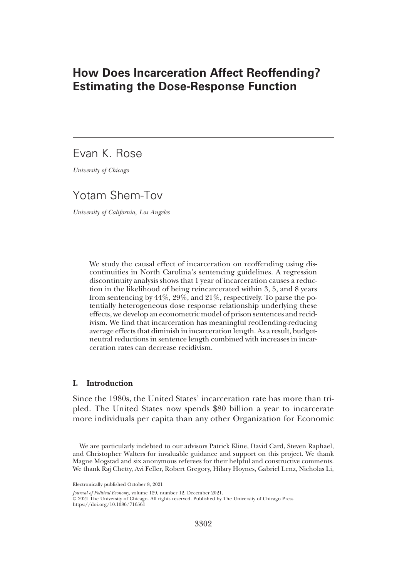# How Does Incarceration Affect Reoffending? Estimating the Dose-Response Function

# Evan K. Rose

University of Chicago

# Yotam Shem-Tov

University of California, Los Angeles

We study the causal effect of incarceration on reoffending using discontinuities in North Carolina's sentencing guidelines. A regression discontinuity analysis shows that 1 year of incarceration causes a reduction in the likelihood of being reincarcerated within 3, 5, and 8 years from sentencing by 44%, 29%, and 21%, respectively. To parse the potentially heterogeneous dose response relationship underlying these effects, we develop an econometric model of prison sentences and recidivism. We find that incarceration has meaningful reoffending-reducing average effects that diminish in incarceration length. As a result, budgetneutral reductions in sentence length combined with increases in incarceration rates can decrease recidivism.

# I. Introduction

Since the 1980s, the United States' incarceration rate has more than tripled. The United States now spends \$80 billion a year to incarcerate more individuals per capita than any other Organization for Economic

We are particularly indebted to our advisors Patrick Kline, David Card, Steven Raphael, and Christopher Walters for invaluable guidance and support on this project. We thank Magne Mogstad and six anonymous referees for their helpful and constructive comments. We thank Raj Chetty, Avi Feller, Robert Gregory, Hilary Hoynes, Gabriel Lenz, Nicholas Li,

Journal of Political Economy, volume 129, number 12, December 2021.

© 2021 The University of Chicago. All rights reserved. Published by The University of Chicago Press.

https://doi.org/10.1086/716561

Electronically published October 8, 2021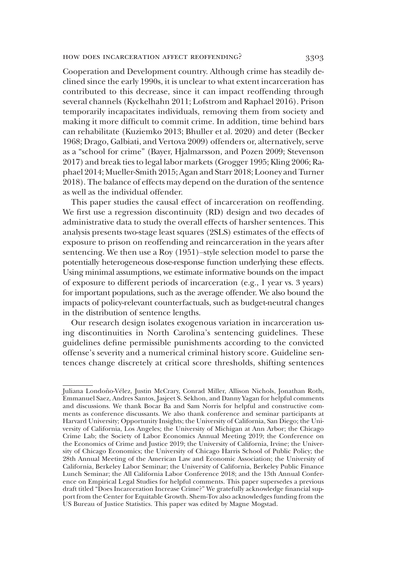#### how does incarceration affect reoffending? 3303

Cooperation and Development country. Although crime has steadily declined since the early 1990s, it is unclear to what extent incarceration has contributed to this decrease, since it can impact reoffending through several channels (Kyckelhahn 2011; Lofstrom and Raphael 2016). Prison temporarily incapacitates individuals, removing them from society and making it more difficult to commit crime. In addition, time behind bars can rehabilitate (Kuziemko 2013; Bhuller et al. 2020) and deter (Becker 1968; Drago, Galbiati, and Vertova 2009) offenders or, alternatively, serve as a "school for crime" (Bayer, Hjalmarsson, and Pozen 2009; Stevenson 2017) and break ties to legal labor markets (Grogger 1995; Kling 2006; Raphael 2014; Mueller-Smith 2015; Agan and Starr 2018; Looney and Turner 2018). The balance of effects may depend on the duration of the sentence as well as the individual offender.

This paper studies the causal effect of incarceration on reoffending. We first use a regression discontinuity (RD) design and two decades of administrative data to study the overall effects of harsher sentences. This analysis presents two-stage least squares (2SLS) estimates of the effects of exposure to prison on reoffending and reincarceration in the years after sentencing. We then use a Roy (1951)–style selection model to parse the potentially heterogeneous dose-response function underlying these effects. Using minimal assumptions, we estimate informative bounds on the impact of exposure to different periods of incarceration (e.g., 1 year vs. 3 years) for important populations, such as the average offender. We also bound the impacts of policy-relevant counterfactuals, such as budget-neutral changes in the distribution of sentence lengths.

Our research design isolates exogenous variation in incarceration using discontinuities in North Carolina's sentencing guidelines. These guidelines define permissible punishments according to the convicted offense's severity and a numerical criminal history score. Guideline sentences change discretely at critical score thresholds, shifting sentences

Juliana Londoño-Vélez, Justin McCrary, Conrad Miller, Allison Nichols, Jonathan Roth, Emmanuel Saez, Andres Santos, Jasjeet S. Sekhon, and Danny Yagan for helpful comments and discussions. We thank Bocar Ba and Sam Norris for helpful and constructive comments as conference discussants. We also thank conference and seminar participants at Harvard University; Opportunity Insights; the University of California, San Diego; the University of California, Los Angeles; the University of Michigan at Ann Arbor; the Chicago Crime Lab; the Society of Labor Economics Annual Meeting 2019; the Conference on the Economics of Crime and Justice 2019; the University of California, Irvine; the University of Chicago Economics; the University of Chicago Harris School of Public Policy; the 28th Annual Meeting of the American Law and Economic Association; the University of California, Berkeley Labor Seminar; the University of California, Berkeley Public Finance Lunch Seminar; the All California Labor Conference 2018; and the 13th Annual Conference on Empirical Legal Studies for helpful comments. This paper supersedes a previous draft titled "Does Incarceration Increase Crime?" We gratefully acknowledge financial support from the Center for Equitable Growth. Shem-Tov also acknowledges funding from the US Bureau of Justice Statistics. This paper was edited by Magne Mogstad.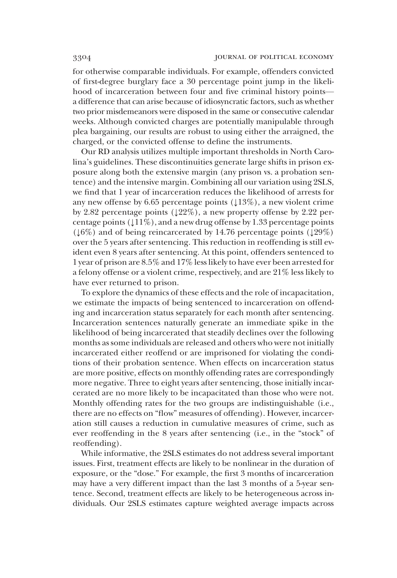for otherwise comparable individuals. For example, offenders convicted of first-degree burglary face a 30 percentage point jump in the likelihood of incarceration between four and five criminal history points a difference that can arise because of idiosyncratic factors, such as whether two prior misdemeanors were disposed in the same or consecutive calendar weeks. Although convicted charges are potentially manipulable through plea bargaining, our results are robust to using either the arraigned, the charged, or the convicted offense to define the instruments.

Our RD analysis utilizes multiple important thresholds in North Carolina's guidelines. These discontinuities generate large shifts in prison exposure along both the extensive margin (any prison vs. a probation sentence) and the intensive margin. Combining all our variation using 2SLS, we find that 1 year of incarceration reduces the likelihood of arrests for any new offense by 6.65 percentage points  $(13\%)$ , a new violent crime by 2.82 percentage points  $(122\%)$ , a new property offense by 2.22 percentage points  $(111\%)$ , and a new drug offense by 1.33 percentage points  $(16%)$  and of being reincarcerated by 14.76 percentage points  $(129%)$ over the 5 years after sentencing. This reduction in reoffending is still evident even 8 years after sentencing. At this point, offenders sentenced to 1 year of prison are 8.5% and 17% less likely to have ever been arrested for a felony offense or a violent crime, respectively, and are 21% less likely to have ever returned to prison.

To explore the dynamics of these effects and the role of incapacitation, we estimate the impacts of being sentenced to incarceration on offending and incarceration status separately for each month after sentencing. Incarceration sentences naturally generate an immediate spike in the likelihood of being incarcerated that steadily declines over the following months as some individuals are released and others who were not initially incarcerated either reoffend or are imprisoned for violating the conditions of their probation sentence. When effects on incarceration status are more positive, effects on monthly offending rates are correspondingly more negative. Three to eight years after sentencing, those initially incarcerated are no more likely to be incapacitated than those who were not. Monthly offending rates for the two groups are indistinguishable (i.e., there are no effects on "flow" measures of offending). However, incarceration still causes a reduction in cumulative measures of crime, such as ever reoffending in the 8 years after sentencing (i.e., in the "stock" of reoffending).

While informative, the 2SLS estimates do not address several important issues. First, treatment effects are likely to be nonlinear in the duration of exposure, or the "dose." For example, the first 3 months of incarceration may have a very different impact than the last 3 months of a 5-year sentence. Second, treatment effects are likely to be heterogeneous across individuals. Our 2SLS estimates capture weighted average impacts across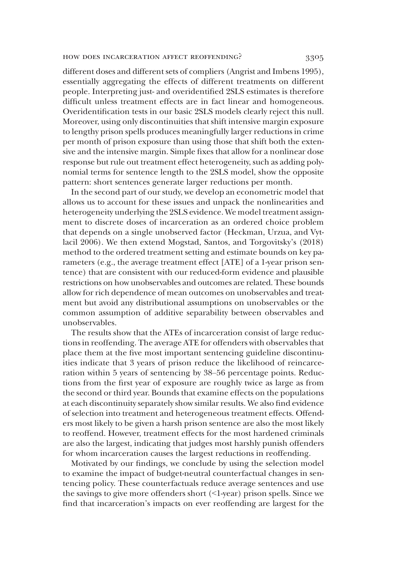### how does incarceration affect reoffending? 3305

different doses and different sets of compliers (Angrist and Imbens 1995), essentially aggregating the effects of different treatments on different people. Interpreting just- and overidentified 2SLS estimates is therefore difficult unless treatment effects are in fact linear and homogeneous. Overidentification tests in our basic 2SLS models clearly reject this null. Moreover, using only discontinuities that shift intensive margin exposure to lengthy prison spells produces meaningfully larger reductions in crime per month of prison exposure than using those that shift both the extensive and the intensive margin. Simple fixes that allow for a nonlinear dose response but rule out treatment effect heterogeneity, such as adding polynomial terms for sentence length to the 2SLS model, show the opposite pattern: short sentences generate larger reductions per month.

In the second part of our study, we develop an econometric model that allows us to account for these issues and unpack the nonlinearities and heterogeneity underlying the 2SLS evidence. We model treatment assignment to discrete doses of incarceration as an ordered choice problem that depends on a single unobserved factor (Heckman, Urzua, and Vytlacil 2006). We then extend Mogstad, Santos, and Torgovitsky's (2018) method to the ordered treatment setting and estimate bounds on key parameters (e.g., the average treatment effect [ATE] of a 1-year prison sentence) that are consistent with our reduced-form evidence and plausible restrictions on how unobservables and outcomes are related. These bounds allow for rich dependence of mean outcomes on unobservables and treatment but avoid any distributional assumptions on unobservables or the common assumption of additive separability between observables and unobservables.

The results show that the ATEs of incarceration consist of large reductions in reoffending. The average ATE for offenders with observables that place them at the five most important sentencing guideline discontinuities indicate that 3 years of prison reduce the likelihood of reincarceration within 5 years of sentencing by 38–56 percentage points. Reductions from the first year of exposure are roughly twice as large as from the second or third year. Bounds that examine effects on the populations at each discontinuity separately show similar results. We also find evidence of selection into treatment and heterogeneous treatment effects. Offenders most likely to be given a harsh prison sentence are also the most likely to reoffend. However, treatment effects for the most hardened criminals are also the largest, indicating that judges most harshly punish offenders for whom incarceration causes the largest reductions in reoffending.

Motivated by our findings, we conclude by using the selection model to examine the impact of budget-neutral counterfactual changes in sentencing policy. These counterfactuals reduce average sentences and use the savings to give more offenders short (<1-year) prison spells. Since we find that incarceration's impacts on ever reoffending are largest for the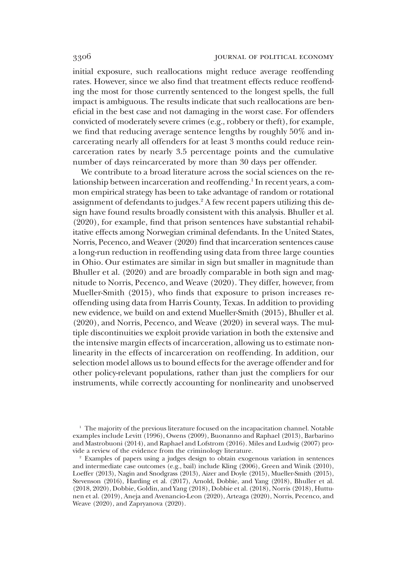initial exposure, such reallocations might reduce average reoffending rates. However, since we also find that treatment effects reduce reoffending the most for those currently sentenced to the longest spells, the full impact is ambiguous. The results indicate that such reallocations are beneficial in the best case and not damaging in the worst case. For offenders convicted of moderately severe crimes (e.g., robbery or theft), for example, we find that reducing average sentence lengths by roughly 50% and incarcerating nearly all offenders for at least 3 months could reduce reincarceration rates by nearly 3.5 percentage points and the cumulative number of days reincarcerated by more than 30 days per offender.

We contribute to a broad literature across the social sciences on the relationship between incarceration and reoffending.<sup>1</sup> In recent years, a common empirical strategy has been to take advantage of random or rotational assignment of defendants to judges.<sup>2</sup> A few recent papers utilizing this design have found results broadly consistent with this analysis. Bhuller et al. (2020), for example, find that prison sentences have substantial rehabilitative effects among Norwegian criminal defendants. In the United States, Norris, Pecenco, and Weaver (2020) find that incarceration sentences cause a long-run reduction in reoffending using data from three large counties in Ohio. Our estimates are similar in sign but smaller in magnitude than Bhuller et al. (2020) and are broadly comparable in both sign and magnitude to Norris, Pecenco, and Weave (2020). They differ, however, from Mueller-Smith (2015), who finds that exposure to prison increases reoffending using data from Harris County, Texas. In addition to providing new evidence, we build on and extend Mueller-Smith (2015), Bhuller et al. (2020), and Norris, Pecenco, and Weave (2020) in several ways. The multiple discontinuities we exploit provide variation in both the extensive and the intensive margin effects of incarceration, allowing us to estimate nonlinearity in the effects of incarceration on reoffending. In addition, our selection model allows us to bound effects for the average offender and for other policy-relevant populations, rather than just the compliers for our instruments, while correctly accounting for nonlinearity and unobserved

<sup>&</sup>lt;sup>1</sup> The majority of the previous literature focused on the incapacitation channel. Notable examples include Levitt (1996), Owens (2009), Buonanno and Raphael (2013), Barbarino and Mastrobuoni (2014), and Raphael and Lofstrom (2016). Miles and Ludwig (2007) provide a review of the evidence from the criminology literature.

<sup>2</sup> Examples of papers using a judges design to obtain exogenous variation in sentences and intermediate case outcomes (e.g., bail) include Kling (2006), Green and Winik (2010), Loeffer (2013), Nagin and Snodgrass (2013), Aizer and Doyle (2015), Mueller-Smith (2015), Stevenson (2016), Harding et al. (2017), Arnold, Dobbie, and Yang (2018), Bhuller et al. (2018, 2020), Dobbie, Goldin, and Yang (2018), Dobbie et al. (2018), Norris (2018), Huttunen et al. (2019), Aneja and Avenancio-Leon (2020), Arteaga (2020), Norris, Pecenco, and Weave (2020), and Zapryanova (2020).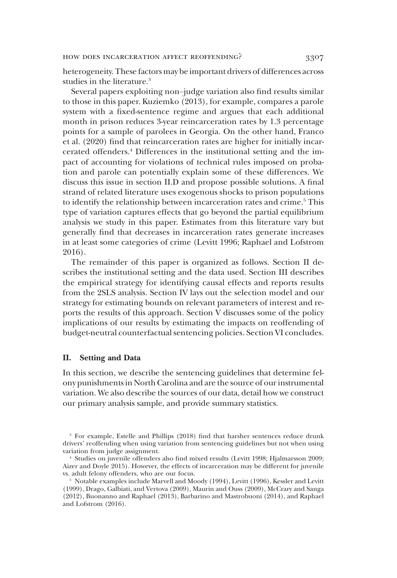heterogeneity. These factors may be important drivers of differences across studies in the literature.<sup>3</sup>

Several papers exploiting non–judge variation also find results similar to those in this paper. Kuziemko (2013), for example, compares a parole system with a fixed-sentence regime and argues that each additional month in prison reduces 3-year reincarceration rates by 1.3 percentage points for a sample of parolees in Georgia. On the other hand, Franco et al. (2020) find that reincarceration rates are higher for initially incarcerated offenders.4 Differences in the institutional setting and the impact of accounting for violations of technical rules imposed on probation and parole can potentially explain some of these differences. We discuss this issue in section II.D and propose possible solutions. A final strand of related literature uses exogenous shocks to prison populations to identify the relationship between incarceration rates and crime.<sup>5</sup> This type of variation captures effects that go beyond the partial equilibrium analysis we study in this paper. Estimates from this literature vary but generally find that decreases in incarceration rates generate increases in at least some categories of crime (Levitt 1996; Raphael and Lofstrom 2016).

The remainder of this paper is organized as follows. Section II describes the institutional setting and the data used. Section III describes the empirical strategy for identifying causal effects and reports results from the 2SLS analysis. Section IV lays out the selection model and our strategy for estimating bounds on relevant parameters of interest and reports the results of this approach. Section V discusses some of the policy implications of our results by estimating the impacts on reoffending of budget-neutral counterfactual sentencing policies. Section VI concludes.

### II. Setting and Data

In this section, we describe the sentencing guidelines that determine felony punishments in North Carolina and are the source of our instrumental variation. We also describe the sources of our data, detail how we construct our primary analysis sample, and provide summary statistics.

<sup>3</sup> For example, Estelle and Phillips (2018) find that harsher sentences reduce drunk drivers' reoffending when using variation from sentencing guidelines but not when using variation from judge assignment.

<sup>4</sup> Studies on juvenile offenders also find mixed results (Levitt 1998; Hjalmarsson 2009; Aizer and Doyle 2015). However, the effects of incarceration may be different for juvenile vs. adult felony offenders, who are our focus.

<sup>5</sup> Notable examples include Marvell and Moody (1994), Levitt (1996), Kessler and Levitt (1999), Drago, Galbiati, and Vertova (2009), Maurin and Ouss (2009), McCrary and Sanga (2012), Buonanno and Raphael (2013), Barbarino and Mastrobuoni (2014), and Raphael and Lofstrom (2016).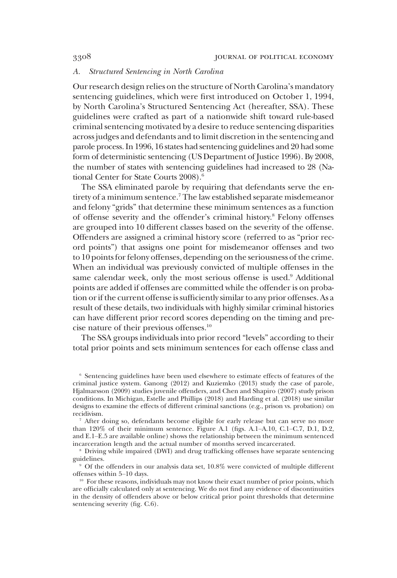### A. Structured Sentencing in North Carolina

Our research design relies on the structure of North Carolina's mandatory sentencing guidelines, which were first introduced on October 1, 1994, by North Carolina's Structured Sentencing Act (hereafter, SSA). These guidelines were crafted as part of a nationwide shift toward rule-based criminal sentencing motivated by a desire to reduce sentencing disparities across judges and defendants and to limit discretion in the sentencing and parole process. In 1996, 16 states had sentencing guidelines and 20 had some form of deterministic sentencing (US Department of Justice 1996). By 2008, the number of states with sentencing guidelines had increased to 28 (National Center for State Courts 2008).<sup>6</sup>

The SSA eliminated parole by requiring that defendants serve the entirety of a minimum sentence.<sup>7</sup> The law established separate misdemeanor and felony "grids" that determine these minimum sentences as a function of offense severity and the offender's criminal history.8 Felony offenses are grouped into 10 different classes based on the severity of the offense. Offenders are assigned a criminal history score (referred to as "prior record points") that assigns one point for misdemeanor offenses and two to 10 points for felony offenses, depending on the seriousness of the crime. When an individual was previously convicted of multiple offenses in the same calendar week, only the most serious offense is used.<sup>9</sup> Additional points are added if offenses are committed while the offender is on probation or if the current offense is sufficiently similar to any prior offenses. As a result of these details, two individuals with highly similar criminal histories can have different prior record scores depending on the timing and precise nature of their previous offenses.10

The SSA groups individuals into prior record "levels" according to their total prior points and sets minimum sentences for each offense class and

<sup>6</sup> Sentencing guidelines have been used elsewhere to estimate effects of features of the criminal justice system. Ganong (2012) and Kuziemko (2013) study the case of parole, Hjalmarsson (2009) studies juvenile offenders, and Chen and Shapiro (2007) study prison conditions. In Michigan, Estelle and Phillips (2018) and Harding et al. (2018) use similar designs to examine the effects of different criminal sanctions (e.g., prison vs. probation) on recidivism.

<sup>7</sup> After doing so, defendants become eligible for early release but can serve no more than 120% of their minimum sentence. Figure A.1 (figs. A.1–A.10, C.1–C.7, D.1, D.2, and E.1–E.5 are available online) shows the relationship between the minimum sentenced incarceration length and the actual number of months served incarcerated.

<sup>8</sup> Driving while impaired (DWI) and drug trafficking offenses have separate sentencing guidelines.

<sup>&</sup>lt;sup>9</sup> Of the offenders in our analysis data set, 10.8% were convicted of multiple different offenses within 5–10 days.

 $10$  For these reasons, individuals may not know their exact number of prior points, which are officially calculated only at sentencing. We do not find any evidence of discontinuities in the density of offenders above or below critical prior point thresholds that determine sentencing severity (fig. C.6).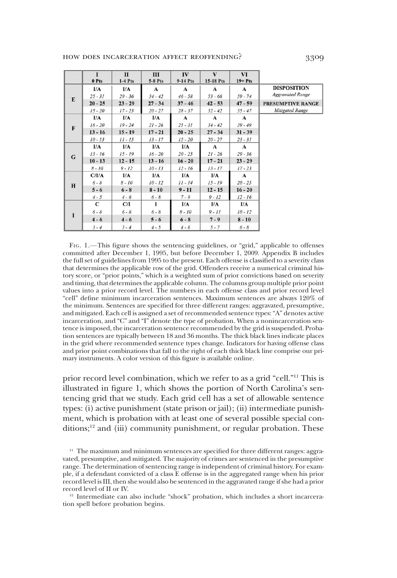|              | $\mathbf I$<br>0 Pts | $\mathbf{u}$<br>$1-4$ Pts | Ш<br><b>5-8 Pts</b> | $I\mathbf{V}$<br>9-14 Pts | V<br>15-18 Pts | VI<br>$19 + Pts$ |                          |
|--------------|----------------------|---------------------------|---------------------|---------------------------|----------------|------------------|--------------------------|
|              | I/A                  | I/A                       | $\mathbf{A}$        | $\mathbf{A}$              | $\mathbf A$    | $\mathbf{A}$     | <b>DISPOSITION</b>       |
|              | $25 - 31$            | $29 - 36$                 | $34 - 42$           | $46 - 58$                 | $53 - 66$      | $59 - 74$        | <b>Aggravated Range</b>  |
| E            | $20 - 25$            | $23 - 29$                 | $27 - 34$           | $37 - 46$                 | $42 - 53$      | $47 - 59$        | <b>PRESUMPTIVE RANGE</b> |
|              | $15 - 20$            | $17 - 23$                 | $20 - 27$           | $28 - 37$                 | $32 - 42$      | $35 - 47$        | <b>Mitigated Range</b>   |
|              | I/A                  | I/A                       | I/A                 | A                         | $\mathbf A$    | $\mathbf{A}$     |                          |
| $\mathbf{F}$ | $16 - 20$            | $19 - 24$                 | $21 - 26$           | $25 - 31$                 | $34 - 42$      | $39 - 49$        |                          |
|              | $13 - 16$            | $15 - 19$                 | $17 - 21$           | $20 - 25$                 | $27 - 34$      | $31 - 39$        |                          |
|              | $10 - 13$            | $11 - 15$                 | $13 - 17$           | $15 - 20$                 | $20 - 27$      | $23 - 31$        |                          |
|              | I/A                  | I/A                       | I/A                 | I/A                       | $\mathbf A$    | $\mathbf{A}$     |                          |
| G            | $13 - 16$            | $15 - 19$                 | $16 - 20$           | $20 - 25$                 | $21 - 26$      | $29 - 36$        |                          |
|              | $10 - 13$            | $12 - 15$                 | $13 - 16$           | $16 - 20$                 | $17 - 21$      | $23 - 29$        |                          |
|              | $8 - 10$             | $9 - 12$                  | $10 - 13$           | $12 - 16$                 | $13 - 17$      | $17 - 23$        |                          |
|              | C/IA                 | I/A                       | I/A                 | I/A                       | I/A            | $\mathbf{A}$     |                          |
| H            | $6 - 8$              | $8 - 10$                  | $10 - 12$           | $11 - 14$                 | $15 - 19$      | $20 - 25$        |                          |
|              | $5 - 6$              | $6 - 8$                   | $8 - 10$            | $9 - 11$                  | $12 - 15$      | $16 - 20$        |                          |
|              | $4 - 5$              | $4 - 6$                   | $6 - 8$             | $7 - 9$                   | $9 - 12$       | $12 - 16$        |                          |
|              | C                    | C/I                       | 1                   | I/A                       | I/A            | I/A              |                          |
| I            | $6 - 8$              | $6 - 8$                   | $6 - 8$             | $8 - 10$                  | $9 - 11$       | $10 - 12$        |                          |
|              | $4 - 6$              | $4 - 6$                   | $5 - 6$             | $6 - 8$                   | $7 - 9$        | $8 - 10$         |                          |
|              | $3 - 4$              | $3 - 4$                   | $4 - 5$             | $4 - 6$                   | $5 - 7$        | $6 - 8$          |                          |

FIG. 1.—This figure shows the sentencing guidelines, or "grid," applicable to offenses committed after December 1, 1995, but before December 1, 2009. Appendix B includes the full set of guidelines from 1995 to the present. Each offense is classified to a severity class that determines the applicable row of the grid. Offenders receive a numerical criminal history score, or "prior points," which is a weighted sum of prior convictions based on severity and timing, that determines the applicable column. The columns group multiple prior point values into a prior record level. The numbers in each offense class and prior record level "cell" define minimum incarceration sentences. Maximum sentences are always 120% of the minimum. Sentences are specified for three different ranges: aggravated, presumptive, and mitigated. Each cell is assigned a set of recommended sentence types:"A" denotes active incarceration, and "C" and "I" denote the type of probation. When a nonincarceration sentence is imposed, the incarceration sentence recommended by the grid is suspended. Probation sentences are typically between 18 and 36 months. The thick black lines indicate places in the grid where recommended sentence types change. Indicators for having offense class and prior point combinations that fall to the right of each thick black line comprise our primary instruments. A color version of this figure is available online.

prior record level combination, which we refer to as a grid "cell."<sup>11</sup> This is illustrated in figure 1, which shows the portion of North Carolina's sentencing grid that we study. Each grid cell has a set of allowable sentence types: (i) active punishment (state prison or jail); (ii) intermediate punishment, which is probation with at least one of several possible special conditions;<sup>12</sup> and (iii) community punishment, or regular probation. These

 $12$  Intermediate can also include "shock" probation, which includes a short incarceration spell before probation begins.

<sup>&</sup>lt;sup>11</sup> The maximum and minimum sentences are specified for three different ranges: aggravated, presumptive, and mitigated. The majority of crimes are sentenced in the presumptive range. The determination of sentencing range is independent of criminal history. For example, if a defendant convicted of a class E offense is in the aggregated range when his prior record level is III, then she would also be sentenced in the aggravated range if she had a prior record level of II or IV.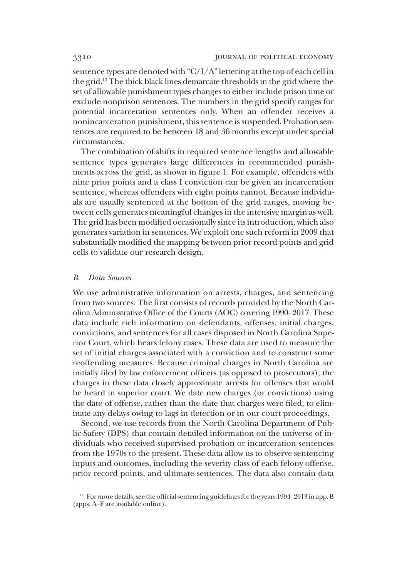sentence types are denoted with "C/I/A"lettering at the top of each cell in the grid.13 The thick black lines demarcate thresholds in the grid where the set of allowable punishment types changes to either include prison time or exclude nonprison sentences. The numbers in the grid specify ranges for potential incarceration sentences only. When an offender receives a nonincarceration punishment, this sentence is suspended. Probation sentences are required to be between 18 and 36 months except under special circumstances.

The combination of shifts in required sentence lengths and allowable sentence types generates large differences in recommended punishments across the grid, as shown in figure 1. For example, offenders with nine prior points and a class I conviction can be given an incarceration sentence, whereas offenders with eight points cannot. Because individuals are usually sentenced at the bottom of the grid ranges, moving between cells generates meaningful changes in the intensive margin as well. The grid has been modified occasionally since its introduction, which also generates variation in sentences. We exploit one such reform in 2009 that substantially modified the mapping between prior record points and grid cells to validate our research design.

#### B. Data Sources

We use administrative information on arrests, charges, and sentencing from two sources. The first consists of records provided by the North Carolina Administrative Office of the Courts (AOC) covering 1990–2017. These data include rich information on defendants, offenses, initial charges, convictions, and sentences for all cases disposed in North Carolina Superior Court, which hears felony cases. These data are used to measure the set of initial charges associated with a conviction and to construct some reoffending measures. Because criminal charges in North Carolina are initially filed by law enforcement officers (as opposed to prosecutors), the charges in these data closely approximate arrests for offenses that would be heard in superior court. We date new charges (or convictions) using the date of offense, rather than the date that charges were filed, to eliminate any delays owing to lags in detection or in our court proceedings.

Second, we use records from the North Carolina Department of Public Safety (DPS) that contain detailed information on the universe of individuals who received supervised probation or incarceration sentences from the 1970s to the present. These data allow us to observe sentencing inputs and outcomes, including the severity class of each felony offense, prior record points, and ultimate sentences. The data also contain data

<sup>&</sup>lt;sup>13</sup> For more details, see the official sentencing guidelines for the years 1994–2013 in app. B (apps. A–F are available online).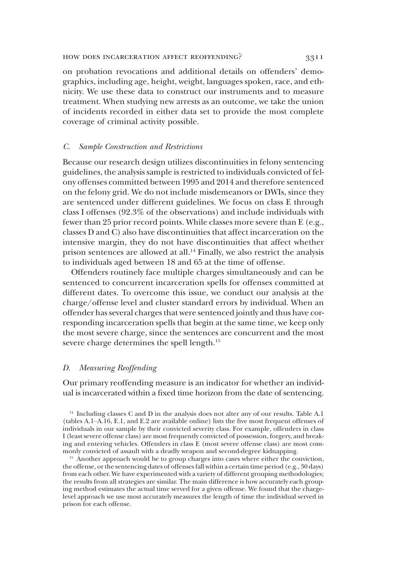### HOW DOES INCARCERATION AFFECT REOFFENDING? 3311

on probation revocations and additional details on offenders' demographics, including age, height, weight, languages spoken, race, and ethnicity. We use these data to construct our instruments and to measure treatment. When studying new arrests as an outcome, we take the union of incidents recorded in either data set to provide the most complete coverage of criminal activity possible.

### C. Sample Construction and Restrictions

Because our research design utilizes discontinuities in felony sentencing guidelines, the analysis sample is restricted to individuals convicted of felony offenses committed between 1995 and 2014 and therefore sentenced on the felony grid. We do not include misdemeanors or DWIs, since they are sentenced under different guidelines. We focus on class E through class I offenses (92.3% of the observations) and include individuals with fewer than 25 prior record points. While classes more severe than E (e.g., classes D and C) also have discontinuities that affect incarceration on the intensive margin, they do not have discontinuities that affect whether prison sentences are allowed at all.<sup>14</sup> Finally, we also restrict the analysis to individuals aged between 18 and 65 at the time of offense.

Offenders routinely face multiple charges simultaneously and can be sentenced to concurrent incarceration spells for offenses committed at different dates. To overcome this issue, we conduct our analysis at the charge/offense level and cluster standard errors by individual. When an offender has several charges that were sentenced jointly and thus have corresponding incarceration spells that begin at the same time, we keep only the most severe charge, since the sentences are concurrent and the most severe charge determines the spell length.<sup>15</sup>

#### D. Measuring Reoffending

Our primary reoffending measure is an indicator for whether an individual is incarcerated within a fixed time horizon from the date of sentencing.

<sup>14</sup> Including classes C and D in the analysis does not alter any of our results. Table A.1 (tables A.1–A.16, E.1, and E.2 are available online) lists the five most frequent offenses of individuals in our sample by their convicted severity class. For example, offenders in class I (least severe offense class) are most frequently convicted of possession, forgery, and breaking and entering vehicles. Offenders in class E (most severe offense class) are most commonly convicted of assault with a deadly weapon and second-degree kidnapping.

<sup>15</sup> Another approach would be to group charges into cases where either the conviction, the offense, or the sentencing dates of offenses fall within a certain time period (e.g., 30 days) from each other. We have experimented with a variety of different grouping methodologies; the results from all strategies are similar. The main difference is how accurately each grouping method estimates the actual time served for a given offense. We found that the chargelevel approach we use most accurately measures the length of time the individual served in prison for each offense.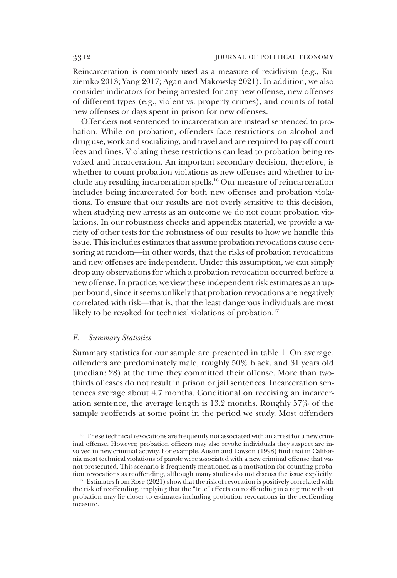Reincarceration is commonly used as a measure of recidivism (e.g., Kuziemko 2013; Yang 2017; Agan and Makowsky 2021). In addition, we also consider indicators for being arrested for any new offense, new offenses of different types (e.g., violent vs. property crimes), and counts of total new offenses or days spent in prison for new offenses.

Offenders not sentenced to incarceration are instead sentenced to probation. While on probation, offenders face restrictions on alcohol and drug use, work and socializing, and travel and are required to pay off court fees and fines. Violating these restrictions can lead to probation being revoked and incarceration. An important secondary decision, therefore, is whether to count probation violations as new offenses and whether to include any resulting incarceration spells.16 Our measure of reincarceration includes being incarcerated for both new offenses and probation violations. To ensure that our results are not overly sensitive to this decision, when studying new arrests as an outcome we do not count probation violations. In our robustness checks and appendix material, we provide a variety of other tests for the robustness of our results to how we handle this issue. This includes estimates that assume probation revocations cause censoring at random—in other words, that the risks of probation revocations and new offenses are independent. Under this assumption, we can simply drop any observations for which a probation revocation occurred before a new offense. In practice, we view these independent risk estimates as an upper bound, since it seems unlikely that probation revocations are negatively correlated with risk—that is, that the least dangerous individuals are most likely to be revoked for technical violations of probation.<sup>17</sup>

## E. Summary Statistics

Summary statistics for our sample are presented in table 1. On average, offenders are predominately male, roughly 50% black, and 31 years old (median: 28) at the time they committed their offense. More than twothirds of cases do not result in prison or jail sentences. Incarceration sentences average about 4.7 months. Conditional on receiving an incarceration sentence, the average length is 13.2 months. Roughly 57% of the sample reoffends at some point in the period we study. Most offenders

<sup>16</sup> These technical revocations are frequently not associated with an arrest for a new criminal offense. However, probation officers may also revoke individuals they suspect are involved in new criminal activity. For example, Austin and Lawson (1998) find that in California most technical violations of parole were associated with a new criminal offense that was not prosecuted. This scenario is frequently mentioned as a motivation for counting probation revocations as reoffending, although many studies do not discuss the issue explicitly.

<sup>17</sup> Estimates from Rose (2021) show that the risk of revocation is positively correlated with the risk of reoffending, implying that the "true" effects on reoffending in a regime without probation may lie closer to estimates including probation revocations in the reoffending measure.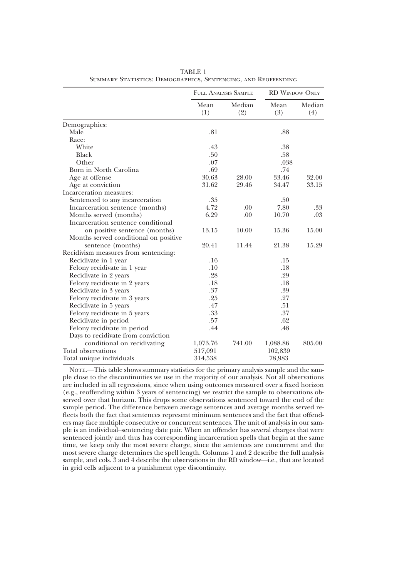|                                       | <b>FULL ANALYSIS SAMPLE</b> |               | <b>RD WINDOW ONLY</b> |               |
|---------------------------------------|-----------------------------|---------------|-----------------------|---------------|
|                                       | Mean<br>(1)                 | Median<br>(2) | Mean<br>(3)           | Median<br>(4) |
| Demographics:                         |                             |               |                       |               |
| Male                                  | .81                         |               | .88                   |               |
| Race:                                 |                             |               |                       |               |
| White                                 | .43                         |               | .38                   |               |
| <b>Black</b>                          | .50                         |               | .58                   |               |
| Other                                 | .07                         |               | .038                  |               |
| Born in North Carolina                | .69                         |               | .74                   |               |
| Age at offense                        | 30.63                       | 28.00         | 33.46                 | 32.00         |
| Age at conviction                     | 31.62                       | 29.46         | 34.47                 | 33.15         |
| Incarceration measures:               |                             |               |                       |               |
| Sentenced to any incarceration        | .35                         |               | .50                   |               |
| Incarceration sentence (months)       | 4.72                        | .00           | 7.80                  | .33           |
| Months served (months)                | 6.29                        | .00           | 10.70                 | .03           |
| Incarceration sentence conditional    |                             |               |                       |               |
| on positive sentence (months)         | 13.15                       | 10.00         | 15.36                 | 15.00         |
| Months served conditional on positive |                             |               |                       |               |
| sentence (months)                     | 20.41                       | 11.44         | 21.38                 | 15.29         |
| Recidivism measures from sentencing:  |                             |               |                       |               |
| Recidivate in 1 year                  | .16                         |               | .15                   |               |
| Felony recidivate in 1 year           | .10                         |               | .18                   |               |
| Recidivate in 2 years                 | .28                         |               | .29                   |               |
| Felony recidivate in 2 years          | .18                         |               | .18                   |               |
| Recidivate in 3 years                 | .37                         |               | .39                   |               |
| Felony recidivate in 3 years          | .25                         |               | .27                   |               |
| Recidivate in 5 years                 | .47                         |               | .51                   |               |
| Felony recidivate in 5 years          | .33                         |               | .37                   |               |
| Recidivate in period                  | .57                         |               | .62                   |               |
| Felony recidivate in period           | .44                         |               | .48                   |               |
| Days to recidivate from conviction    |                             |               |                       |               |
| conditional on recidivating           | 1,073.76                    | 741.00        | 1,088.86              | 805.00        |
| Total observations                    | 517,091                     |               | 102,839               |               |
| Total unique individuals              | 314,538                     |               | 78,983                |               |

TABLE 1 Summary Statistics: Demographics, Sentencing, and Reoffending

NOTE.—This table shows summary statistics for the primary analysis sample and the sample close to the discontinuities we use in the majority of our analysis. Not all observations are included in all regressions, since when using outcomes measured over a fixed horizon (e.g., reoffending within 3 years of sentencing) we restrict the sample to observations observed over that horizon. This drops some observations sentenced toward the end of the sample period. The difference between average sentences and average months served reflects both the fact that sentences represent minimum sentences and the fact that offenders may face multiple consecutive or concurrent sentences. The unit of analysis in our sample is an individual–sentencing date pair. When an offender has several charges that were sentenced jointly and thus has corresponding incarceration spells that begin at the same time, we keep only the most severe charge, since the sentences are concurrent and the most severe charge determines the spell length. Columns 1 and 2 describe the full analysis sample, and cols. 3 and 4 describe the observations in the RD window—i.e., that are located in grid cells adjacent to a punishment type discontinuity.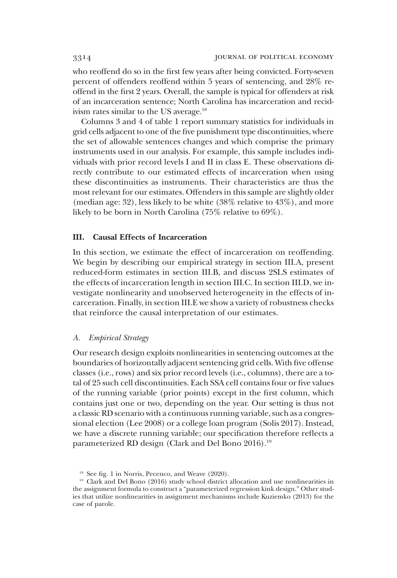who reoffend do so in the first few years after being convicted. Forty-seven percent of offenders reoffend within 5 years of sentencing, and 28% reoffend in the first 2 years. Overall, the sample is typical for offenders at risk of an incarceration sentence; North Carolina has incarceration and recidivism rates similar to the US average.<sup>18</sup>

Columns 3 and 4 of table 1 report summary statistics for individuals in grid cells adjacent to one of the five punishment type discontinuities, where the set of allowable sentences changes and which comprise the primary instruments used in our analysis. For example, this sample includes individuals with prior record levels I and II in class E. These observations directly contribute to our estimated effects of incarceration when using these discontinuities as instruments. Their characteristics are thus the most relevant for our estimates. Offenders in this sample are slightly older (median age: 32), less likely to be white (38% relative to 43%), and more likely to be born in North Carolina (75% relative to 69%).

# III. Causal Effects of Incarceration

In this section, we estimate the effect of incarceration on reoffending. We begin by describing our empirical strategy in section III.A, present reduced-form estimates in section III.B, and discuss 2SLS estimates of the effects of incarceration length in section III.C. In section III.D, we investigate nonlinearity and unobserved heterogeneity in the effects of incarceration. Finally, in section III.E we show a variety of robustness checks that reinforce the causal interpretation of our estimates.

# A. Empirical Strategy

Our research design exploits nonlinearities in sentencing outcomes at the boundaries of horizontally adjacent sentencing grid cells. With five offense classes (i.e., rows) and six prior record levels (i.e., columns), there are a total of 25 such cell discontinuities. Each SSA cell contains four or five values of the running variable (prior points) except in the first column, which contains just one or two, depending on the year. Our setting is thus not a classic RD scenario with a continuous running variable, such as a congressional election (Lee 2008) or a college loan program (Solis 2017). Instead, we have a discrete running variable; our specification therefore reflects a parameterized RD design (Clark and Del Bono 2016).<sup>19</sup>

<sup>&</sup>lt;sup>18</sup> See fig. 1 in Norris, Pecenco, and Weave (2020).

<sup>&</sup>lt;sup>19</sup> Clark and Del Bono (2016) study school district allocation and use nonlinearities in the assignment formula to construct a "parameterized regression kink design." Other studies that utilize nonlinearities in assignment mechanisms include Kuziemko (2013) for the case of parole.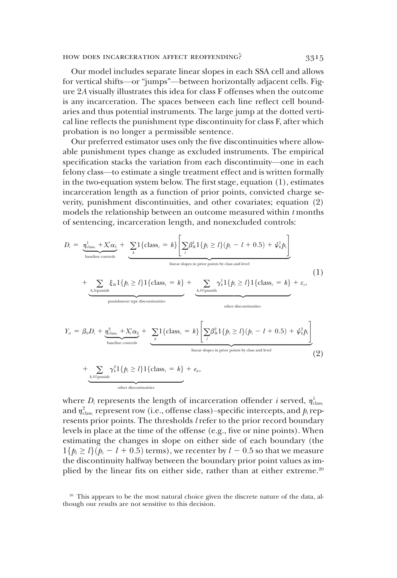Our model includes separate linear slopes in each SSA cell and allows for vertical shifts—or "jumps"—between horizontally adjacent cells. Figure 2A visually illustrates this idea for class F offenses when the outcome is any incarceration. The spaces between each line reflect cell boundaries and thus potential instruments. The large jump at the dotted vertical line reflects the punishment type discontinuity for class F, after which probation is no longer a permissible sentence.

Our preferred estimator uses only the five discontinuities where allowable punishment types change as excluded instruments. The empirical specification stacks the variation from each discontinuity—one in each felony class—to estimate a single treatment effect and is written formally in the two-equation system below. The first stage, equation (1), estimates incarceration length as a function of prior points, convicted charge severity, punishment discontinuities, and other covariates; equation (2) models the relationship between an outcome measured within  $t$  months of sentencing, incarceration length, and nonexcluded controls:

$$
D_{i} = \underbrace{\eta_{\text{class},}^{1} + X_{i}' \alpha_{1}}_{\text{baseline controls}} + \underbrace{\sum_{k} 1 \{ \text{class}_{i} = k \} \left[ \sum_{l} \beta_{ik}^{1} 1 \{ p_{i} \ge l \} (p_{i} - l + 0.5) + \psi_{k}^{1} p_{i} \right]}_{\text{linear slopes in prior points by class and level}}
$$
\n
$$
+ \underbrace{\sum_{k,l \in \text{punish}} \xi_{kl} 1 \{ p_{i} \ge l \} 1 \{ \text{class}_{i} = k \} + \underbrace{\sum_{k,l \in \text{punish}} \gamma_{k}^{1} 1 \{ p_{i} \ge l \} 1 \{ \text{class}_{i} = k \} + \varepsilon_{i}}_{\text{punishment type discontinuities}}
$$
\n
$$
Y_{ii} = \beta_{0} D_{i} + \underbrace{\eta_{\text{class},}^{2} + X_{i}' \alpha_{2}}_{\text{baseline controls}} + \underbrace{\sum_{k} 1 \{ \text{class}_{i} = k \} \left[ \sum_{l} \beta_{ik}^{2} 1 \{ p_{i} \ge l \} (p_{i} - l + 0.5) + \psi_{k}^{2} p_{i} \right]}_{\text{linear slopes in prior points by class and level}}
$$
\n
$$
+ \underbrace{\sum_{k,l \in \text{punish}} \gamma_{k}^{2} 1 \{ p_{i} \ge l \} 1 \{ \text{class}_{i} = k \} + e_{ii}},
$$
\n
$$
\underbrace{\sum_{k,l \in \text{punish}} \gamma_{k}^{2} 1 \{ p_{i} \ge l \} 1 \{ \text{class}_{i} = k \} + e_{ii}},
$$
\n
$$
\underbrace{\sum_{k,l \in \text{punish}} \gamma_{k}^{2} 1 \{ p_{i} \ge l \} 1 \{ \text{class}_{i} = k \} + e_{ii}},
$$
\n
$$
(2)
$$

where  $D_i$  represents the length of incarceration offender *i* served,  $\eta_{\text{class}}^1$ <br>and  $\eta_{\text{class}}^2$  represent row (i.e., offense class)-specific intercents and *h* rep. and  $\eta^2_{\rm class}$  represent row (i.e., offense class)–specific intercepts, and  $p_i$  represents prior points. The thresholds *l* refer to the prior record boundary resents prior points. The thresholds *l* refer to the prior record boundary levels in place at the time of the offense (e.g., five or nine points). When estimating the changes in slope on either side of each boundary (the  $1\{p_i \geq l\}$  $(p_i - l + 0.5)$  terms), we recenter by  $l - 0.5$  so that we measure the discontinuity halfway between the boundary prior point values as implied by the linear fits on either side, rather than at either extreme.<sup>20</sup>

<sup>&</sup>lt;sup>20</sup> This appears to be the most natural choice given the discrete nature of the data, although our results are not sensitive to this decision.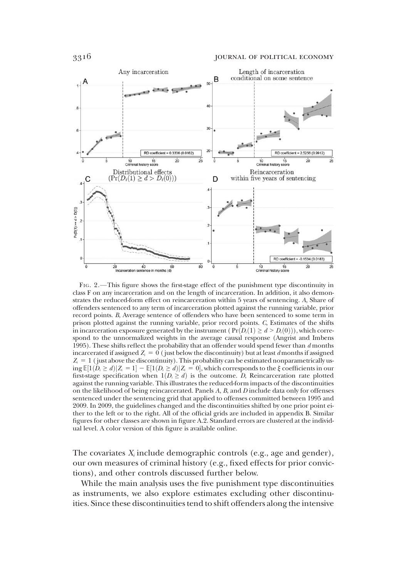

FIG. 2.—This figure shows the first-stage effect of the punishment type discontinuity in class F on any incarceration and on the length of incarceration. In addition, it also demonstrates the reduced-form effect on reincarceration within 5 years of sentencing. A, Share of offenders sentenced to any term of incarceration plotted against the running variable, prior record points. B, Average sentence of offenders who have been sentenced to some term in prison plotted against the running variable, prior record points. C, Estimates of the shifts in incarceration exposure generated by the instrument ( $Pr(D_i(1) \ge d > D_i(0))$ ), which correspond to the unnormalized weights in the average causal response (Angrist and Imbens 1995). These shifts reflect the probability that an offender would spend fewer than  $d$  months incarcerated if assigned  $Z_i = 0$  (just below the discontinuity) but at least d months if assigned  $Z_i = 1$  ( just above the discontinuity). This probability can be estimated nonparametrically us- $\text{diag}\mathbb{E}[1(D_i \ge d)|Z_i = 1] - \mathbb{E}[1(D_i \ge d)|Z_i = 0]$ , which corresponds to the  $\xi$  coefficients in our first-stage specification when  $1(D \ge d)$  is the outcome D Reincarceration rate plotted first-stage specification when  $1(D_i \geq d)$  is the outcome. D, Reincarceration rate plotted against the running variable. This illustrates the reduced-form impacts of the discontinuities on the likelihood of being reincarcerated. Panels  $A$ ,  $B$ , and  $D$  include data only for offenses sentenced under the sentencing grid that applied to offenses committed between 1995 and 2009. In 2009, the guidelines changed and the discontinuities shifted by one prior point either to the left or to the right. All of the official grids are included in appendix B. Similar figures for other classes are shown in figure A.2. Standard errors are clustered at the individual level. A color version of this figure is available online.

The covariates  $X_i$  include demographic controls (e.g., age and gender), our own measures of criminal history (e.g., fixed effects for prior convictions), and other controls discussed further below.

While the main analysis uses the five punishment type discontinuities as instruments, we also explore estimates excluding other discontinuities. Since these discontinuities tend to shift offenders along the intensive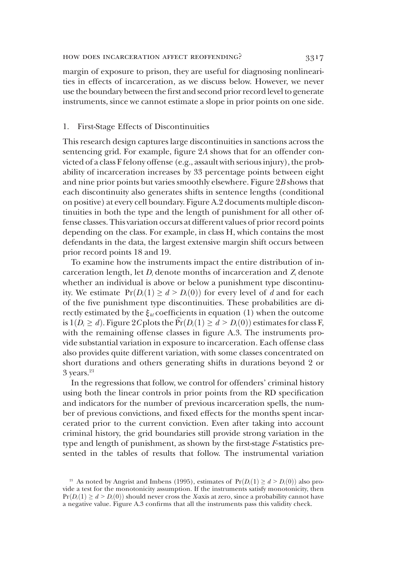margin of exposure to prison, they are useful for diagnosing nonlinearities in effects of incarceration, as we discuss below. However, we never use the boundary between the first and second prior record level to generate instruments, since we cannot estimate a slope in prior points on one side.

#### 1. First-Stage Effects of Discontinuities

This research design captures large discontinuities in sanctions across the sentencing grid. For example, figure 2A shows that for an offender convicted of a class F felony offense (e.g., assault with serious injury), the probability of incarceration increases by 33 percentage points between eight and nine prior points but varies smoothly elsewhere. Figure 2B shows that each discontinuity also generates shifts in sentence lengths (conditional on positive) at every cell boundary. Figure A.2 documents multiple discontinuities in both the type and the length of punishment for all other offense classes. This variation occurs at different values of prior record points depending on the class. For example, in class H, which contains the most defendants in the data, the largest extensive margin shift occurs between prior record points 18 and 19.

To examine how the instruments impact the entire distribution of incarceration length, let  $D_i$  denote months of incarceration and  $Z_i$  denote whether an individual is above or below a punishment type discontinuity. We estimate  $Pr(D_i(1) \ge d > D_i(0))$  for every level of d and for each of the five punishment type discontinuities. These probabilities are directly estimated by the  $\xi_{kl}$  coefficients in equation (1) when the outcome is  $1(D_i \geq d)$ . Figure 2C plots the  $\hat{Pr}(D_i(1) \geq d > D_i(0))$  estimates for class F, with the remaining offense classes in figure A.3. The instruments provide substantial variation in exposure to incarceration. Each offense class also provides quite different variation, with some classes concentrated on short durations and others generating shifts in durations beyond 2 or  $3$  years.<sup>21</sup>

In the regressions that follow, we control for offenders' criminal history using both the linear controls in prior points from the RD specification and indicators for the number of previous incarceration spells, the number of previous convictions, and fixed effects for the months spent incarcerated prior to the current conviction. Even after taking into account criminal history, the grid boundaries still provide strong variation in the type and length of punishment, as shown by the first-stage F-statistics presented in the tables of results that follow. The instrumental variation

<sup>&</sup>lt;sup>21</sup> As noted by Angrist and Imbens (1995), estimates of  $Pr(D_i(1) \ge d > D_i(0))$  also provide a test for the monotonicity assumption. If the instruments satisfy monotonicity, then  $Pr(D_i(1) \ge d > D_i(0))$  should never cross the X-axis at zero, since a probability cannot have a negative value. Figure A.3 confirms that all the instruments pass this validity check.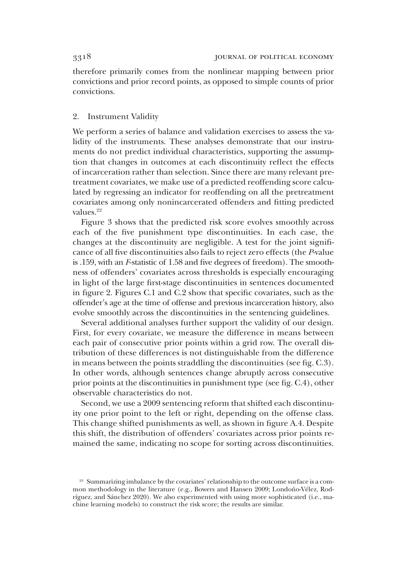therefore primarily comes from the nonlinear mapping between prior convictions and prior record points, as opposed to simple counts of prior convictions.

# 2. Instrument Validity

We perform a series of balance and validation exercises to assess the validity of the instruments. These analyses demonstrate that our instruments do not predict individual characteristics, supporting the assumption that changes in outcomes at each discontinuity reflect the effects of incarceration rather than selection. Since there are many relevant pretreatment covariates, we make use of a predicted reoffending score calculated by regressing an indicator for reoffending on all the pretreatment covariates among only nonincarcerated offenders and fitting predicted values.22

Figure 3 shows that the predicted risk score evolves smoothly across each of the five punishment type discontinuities. In each case, the changes at the discontinuity are negligible. A test for the joint significance of all five discontinuities also fails to reject zero effects (the P-value is .159, with an F-statistic of 1.58 and five degrees of freedom). The smoothness of offenders' covariates across thresholds is especially encouraging in light of the large first-stage discontinuities in sentences documented in figure 2. Figures C.1 and C.2 show that specific covariates, such as the offender's age at the time of offense and previous incarceration history, also evolve smoothly across the discontinuities in the sentencing guidelines.

Several additional analyses further support the validity of our design. First, for every covariate, we measure the difference in means between each pair of consecutive prior points within a grid row. The overall distribution of these differences is not distinguishable from the difference in means between the points straddling the discontinuities (see fig. C.3). In other words, although sentences change abruptly across consecutive prior points at the discontinuities in punishment type (see fig. C.4), other observable characteristics do not.

Second, we use a 2009 sentencing reform that shifted each discontinuity one prior point to the left or right, depending on the offense class. This change shifted punishments as well, as shown in figure A.4. Despite this shift, the distribution of offenders' covariates across prior points remained the same, indicating no scope for sorting across discontinuities.

<sup>&</sup>lt;sup>22</sup> Summarizing imbalance by the covariates' relationship to the outcome surface is a common methodology in the literature (e.g., Bowers and Hansen 2009; Londoño-Vélez, Rodríguez, and Sánchez 2020). We also experimented with using more sophisticated (i.e., machine learning models) to construct the risk score; the results are similar.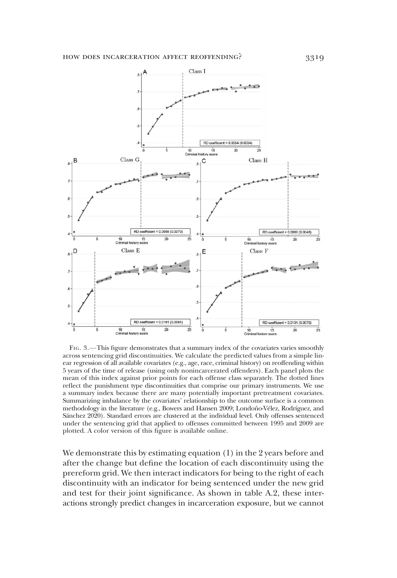

FIG. 3.—This figure demonstrates that a summary index of the covariates varies smoothly across sentencing grid discontinuities. We calculate the predicted values from a simple linear regression of all available covariates (e.g., age, race, criminal history) on reoffending within 5 years of the time of release (using only nonincarcerated offenders). Each panel plots the mean of this index against prior points for each offense class separately. The dotted lines reflect the punishment type discontinuities that comprise our primary instruments. We use a summary index because there are many potentially important pretreatment covariates. Summarizing imbalance by the covariates' relationship to the outcome surface is a common methodology in the literature (e.g., Bowers and Hansen 2009; Londoño-Vélez, Rodríguez, and Sánchez 2020). Standard errors are clustered at the individual level. Only offenses sentenced under the sentencing grid that applied to offenses committed between 1995 and 2009 are plotted. A color version of this figure is available online.

We demonstrate this by estimating equation (1) in the 2 years before and after the change but define the location of each discontinuity using the prereform grid. We then interact indicators for being to the right of each discontinuity with an indicator for being sentenced under the new grid and test for their joint significance. As shown in table A.2, these interactions strongly predict changes in incarceration exposure, but we cannot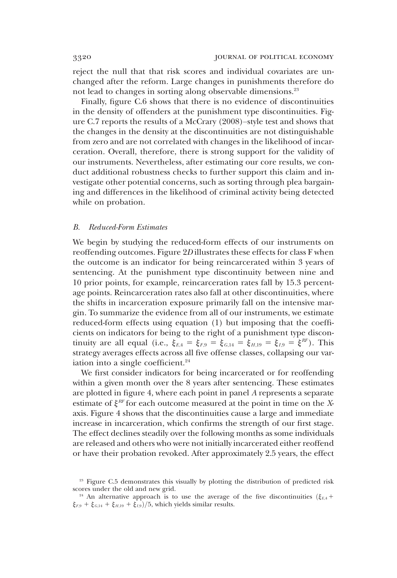reject the null that that risk scores and individual covariates are unchanged after the reform. Large changes in punishments therefore do not lead to changes in sorting along observable dimensions.<sup>23</sup>

Finally, figure C.6 shows that there is no evidence of discontinuities in the density of offenders at the punishment type discontinuities. Figure C.7 reports the results of a McCrary (2008)–style test and shows that the changes in the density at the discontinuities are not distinguishable from zero and are not correlated with changes in the likelihood of incarceration. Overall, therefore, there is strong support for the validity of our instruments. Nevertheless, after estimating our core results, we conduct additional robustness checks to further support this claim and investigate other potential concerns, such as sorting through plea bargaining and differences in the likelihood of criminal activity being detected while on probation.

#### B. Reduced-Form Estimates

We begin by studying the reduced-form effects of our instruments on reoffending outcomes. Figure 2D illustrates these effects for class F when the outcome is an indicator for being reincarcerated within 3 years of sentencing. At the punishment type discontinuity between nine and 10 prior points, for example, reincarceration rates fall by 15.3 percentage points. Reincarceration rates also fall at other discontinuities, where the shifts in incarceration exposure primarily fall on the intensive margin. To summarize the evidence from all of our instruments, we estimate reduced-form effects using equation (1) but imposing that the coefficients on indicators for being to the right of a punishment type discontinuity are all equal (i.e.,  $\xi_{E,4} = \xi_{F,9} = \xi_{G,14} = \xi_{H,19} = \xi_{I,9} = \xi_{I}^{RF}$ ). This strategy averages effects across all five offense classes, collapsing our variation into a single coefficient.<sup>24</sup>

We first consider indicators for being incarcerated or for reoffending within a given month over the 8 years after sentencing. These estimates are plotted in figure 4, where each point in panel A represents a separate estimate of  $\xi^{RF}$  for each outcome measured at the point in time on the Xaxis. Figure 4 shows that the discontinuities cause a large and immediate increase in incarceration, which confirms the strength of our first stage. The effect declines steadily over the following months as some individuals are released and others who were not initially incarcerated either reoffend or have their probation revoked. After approximately 2.5 years, the effect

<sup>&</sup>lt;sup>23</sup> Figure C.5 demonstrates this visually by plotting the distribution of predicted risk scores under the old and new grid.

<sup>&</sup>lt;sup>24</sup> An alternative approach is to use the average of the five discontinuities  $(\xi_{k+1})$  $\xi_{F,9} + \xi_{G,14} + \xi_{H,19} + \xi_{I,9}/5$ , which yields similar results.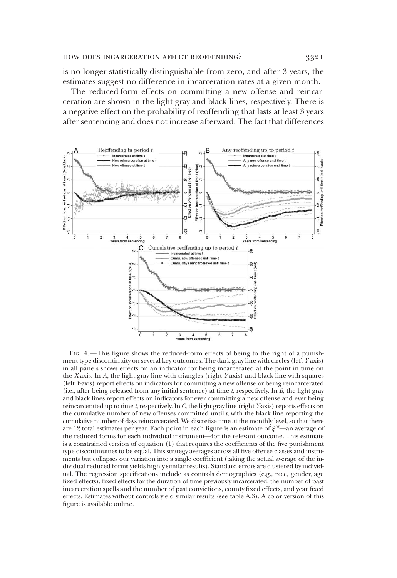is no longer statistically distinguishable from zero, and after 3 years, the estimates suggest no difference in incarceration rates at a given month.

The reduced-form effects on committing a new offense and reincarceration are shown in the light gray and black lines, respectively. There is a negative effect on the probability of reoffending that lasts at least 3 years after sentencing and does not increase afterward. The fact that differences



FIG. 4.—This figure shows the reduced-form effects of being to the right of a punishment type discontinuity on several key outcomes. The dark gray line with circles (left Y-axis) in all panels shows effects on an indicator for being incarcerated at the point in time on the X-axis. In A, the light gray line with triangles (right Y-axis) and black line with squares (left Y-axis) report effects on indicators for committing a new offense or being reincarcerated (i.e., after being released from any initial sentence) at time  $t$ , respectively. In  $\overline{B}$ , the light gray and black lines report effects on indicators for ever committing a new offense and ever being reincarcerated up to time  $t$ , respectively. In  $C$ , the light gray line (right Y-axis) reports effects on the cumulative number of new offenses committed until  $t$ , with the black line reporting the cumulative number of days reincarcerated. We discretize time at the monthly level, so that there are 12 total estimates per year. Each point in each figure is an estimate of  $\xi^{RF}$ —an average of the reduced forms for each individual instrument—for the relevant outcome. This estimate is a constrained version of equation (1) that requires the coefficients of the five punishment type discontinuities to be equal. This strategy averages across all five offense classes and instruments but collapses our variation into a single coefficient (taking the actual average of the individual reduced forms yields highly similar results). Standard errors are clustered by individual. The regression specifications include as controls demographics (e.g., race, gender, age fixed effects), fixed effects for the duration of time previously incarcerated, the number of past incarceration spells and the number of past convictions, county fixed effects, and year fixed effects. Estimates without controls yield similar results (see table A.3). A color version of this figure is available online.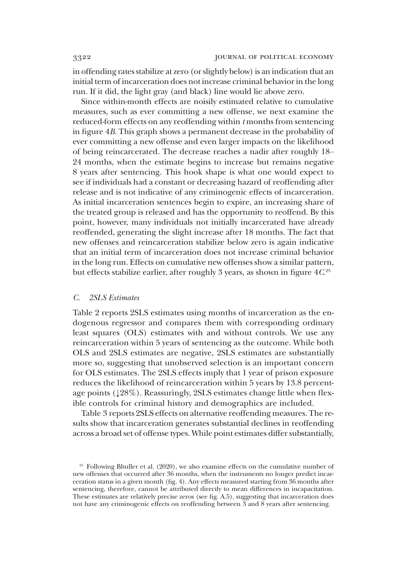in offending rates stabilize at zero (or slightly below) is an indication that an initial term of incarceration does not increase criminal behavior in the long run. If it did, the light gray (and black) line would lie above zero.

Since within-month effects are noisily estimated relative to cumulative measures, such as ever committing a new offense, we next examine the reduced-form effects on any reoffending within  $t$  months from sentencing in figure 4B. This graph shows a permanent decrease in the probability of ever committing a new offense and even larger impacts on the likelihood of being reincarcerated. The decrease reaches a nadir after roughly 18– 24 months, when the estimate begins to increase but remains negative 8 years after sentencing. This hook shape is what one would expect to see if individuals had a constant or decreasing hazard of reoffending after release and is not indicative of any criminogenic effects of incarceration. As initial incarceration sentences begin to expire, an increasing share of the treated group is released and has the opportunity to reoffend. By this point, however, many individuals not initially incarcerated have already reoffended, generating the slight increase after 18 months. The fact that new offenses and reincarceration stabilize below zero is again indicative that an initial term of incarceration does not increase criminal behavior in the long run. Effects on cumulative new offenses show a similar pattern, but effects stabilize earlier, after roughly 3 years, as shown in figure  $4C^{25}$ 

#### C. 2SLS Estimates

Table 2 reports 2SLS estimates using months of incarceration as the endogenous regressor and compares them with corresponding ordinary least squares (OLS) estimates with and without controls. We use any reincarceration within 5 years of sentencing as the outcome. While both OLS and 2SLS estimates are negative, 2SLS estimates are substantially more so, suggesting that unobserved selection is an important concern for OLS estimates. The 2SLS effects imply that 1 year of prison exposure reduces the likelihood of reincarceration within 5 years by 13.8 percentage points (↓28%). Reassuringly, 2SLS estimates change little when flexible controls for criminal history and demographics are included.

Table 3 reports 2SLS effects on alternative reoffending measures. The results show that incarceration generates substantial declines in reoffending across a broad set of offense types. While point estimates differ substantially,

<sup>&</sup>lt;sup>25</sup> Following Bhuller et al. (2020), we also examine effects on the cumulative number of new offenses that occurred after 36 months, when the instruments no longer predict incarceration status in a given month (fig. 4). Any effects measured starting from 36 months after sentencing, therefore, cannot be attributed directly to mean differences in incapacitation. These estimates are relatively precise zeros (see fig. A.5), suggesting that incarceration does not have any criminogenic effects on reoffending between 3 and 8 years after sentencing.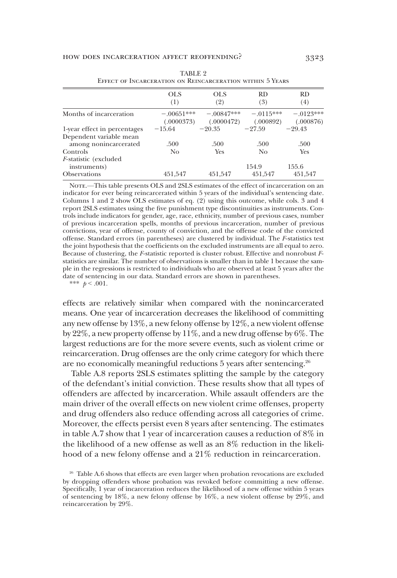|                                                  | <b>OLS</b><br>(1)          | OLS.<br>(2)               | <b>RD</b><br>(3)        | RD.<br>(4)               |
|--------------------------------------------------|----------------------------|---------------------------|-------------------------|--------------------------|
| Months of incarceration                          | $-.00651***$<br>(.0000373) | $-00847***$<br>(.0000472) | $-0115***$<br>(.000892) | $-$ 0193***<br>(.000876) |
| 1-year effect in percentages                     | $-15.64$                   | $-20.35$                  | $-97.59$                | $-29.43$                 |
| Dependent variable mean<br>among nonincarcerated | .500                       | .500                      | .500                    | .500                     |
| Controls                                         | No                         | <b>Yes</b>                | No.                     | Yes                      |
| <i>F</i> -statistic (excluded<br>instruments)    |                            |                           | 154.9                   | 155.6                    |
| <b>Observations</b>                              | 451.547                    | 451.547                   | 451.547                 | 451.547                  |

| TABLE 2                                                   |
|-----------------------------------------------------------|
| EFFECT OF INCARCERATION ON REINCARCERATION WITHIN 5 YEARS |

NOTE.-This table presents OLS and 2SLS estimates of the effect of incarceration on an indicator for ever being reincarcerated within 5 years of the individual's sentencing date. Columns 1 and 2 show OLS estimates of eq. (2) using this outcome, while cols. 3 and 4 report 2SLS estimates using the five punishment type discontinuities as instruments. Controls include indicators for gender, age, race, ethnicity, number of previous cases, number of previous incarceration spells, months of previous incarceration, number of previous convictions, year of offense, county of conviction, and the offense code of the convicted offense. Standard errors (in parentheses) are clustered by individual. The F-statistics test the joint hypothesis that the coefficients on the excluded instruments are all equal to zero. Because of clustering, the F-statistic reported is cluster robust. Effective and nonrobust Fstatistics are similar. The number of observations is smaller than in table 1 because the sample in the regressions is restricted to individuals who are observed at least 5 years after the date of sentencing in our data. Standard errors are shown in parentheses.

\*\*\*  $p < .001$ .

effects are relatively similar when compared with the nonincarcerated means. One year of incarceration decreases the likelihood of committing any new offense by 13%, a new felony offense by 12%, a new violent offense by 22%, a new property offense by 11%, and a new drug offense by 6%. The largest reductions are for the more severe events, such as violent crime or reincarceration. Drug offenses are the only crime category for which there are no economically meaningful reductions 5 years after sentencing.26

Table A.8 reports 2SLS estimates splitting the sample by the category of the defendant's initial conviction. These results show that all types of offenders are affected by incarceration. While assault offenders are the main driver of the overall effects on new violent crime offenses, property and drug offenders also reduce offending across all categories of crime. Moreover, the effects persist even 8 years after sentencing. The estimates in table A.7 show that 1 year of incarceration causes a reduction of 8% in the likelihood of a new offense as well as an 8% reduction in the likelihood of a new felony offense and a 21% reduction in reincarceration.

<sup>&</sup>lt;sup>26</sup> Table A.6 shows that effects are even larger when probation revocations are excluded by dropping offenders whose probation was revoked before committing a new offense. Specifically, 1 year of incarceration reduces the likelihood of a new offense within 5 years of sentencing by 18%, a new felony offense by 16%, a new violent offense by 29%, and reincarceration by 29%.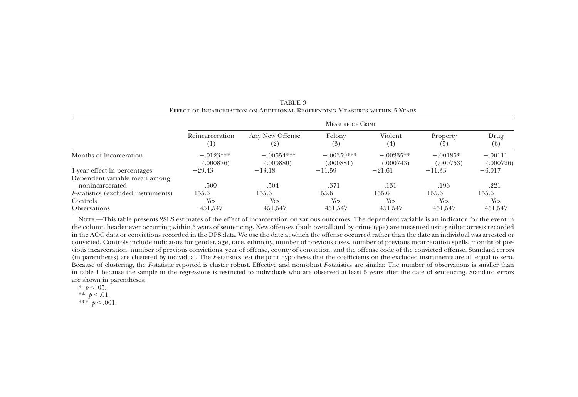|                                             |                        | <b>MEASURE OF CRIME</b>   |                           |                          |                         |                        |  |  |  |
|---------------------------------------------|------------------------|---------------------------|---------------------------|--------------------------|-------------------------|------------------------|--|--|--|
|                                             | Reincarceration<br>(1) | Any New Offense<br>(2)    | Felony<br>(3)             | Violent<br>(4)           | Property<br>(5)         | Drug<br>(6)            |  |  |  |
| Months of incarceration                     | $-.0123***$<br>000876  | $-.00554***$<br>(.000880) | $-.00359***$<br>(.000881) | $-.00235**$<br>(.000743) | $-.00185*$<br>(.000753) | $-.00111$<br>(.000726) |  |  |  |
| 1-year effect in percentages                | $-29.43$               | $-13.18$                  | $-11.59$                  | $-21.61$                 | $-11.33$                | $-6.017$               |  |  |  |
| Dependent variable mean among               |                        |                           |                           |                          |                         |                        |  |  |  |
| nonincarcerated                             | .500                   | .504                      | .371                      | .131                     | .196                    | .221                   |  |  |  |
| <i>F</i> -statistics (excluded instruments) | 155.6                  | 155.6                     | 155.6                     | 155.6                    | 155.6                   | 155.6                  |  |  |  |
| Controls                                    | Yes                    | Yes                       | Yes                       | Yes                      | <b>Yes</b>              | Yes                    |  |  |  |
| <b>Observations</b>                         | 451.547                | 451.547                   | 451.547                   | 451.547                  | 451.547                 | 451.547                |  |  |  |

TABLE 3Effect of Incarceration on Additional Reoffending Measures within 5 Years

Note.—This table presents 2SLS estimates of the effect of incarceration on various outcomes. The dependent variable is an indicator for the event in the column header ever occurring within 5 years of sentencing. New offenses (both overall and by crime type) are measured using either arrests recorded in the AOC data or convictions recorded in the DPS data. We use the date at which the offense occurred rather than the date an individual was arrested or convicted. Controls include indicators for gender, age, race, ethnicity, number of previous cases, number of previous incarceration spells, months of previous incarceration, number of previous convictions, year of offense, county of conviction, and the offense code of the convicted offense. Standard errors (in parentheses) are clustered by individual. The <sup>F</sup>-statistics test the joint hypothesis that the coefficients on the excluded instruments are all equal to zero. Because of clustering, the F-statistic reported is cluster robust. Effective and nonrobust F-statistics are similar. The number of observations is smaller than in table 1 because the sample in the regressions is restricted to individuals who are observed at least 5 years after the date of sentencing. Standard errors are shown in parentheses.

\*  $p < .05$ . \*\*  $p < .01$ .

\*\*\*  $p < .001$ .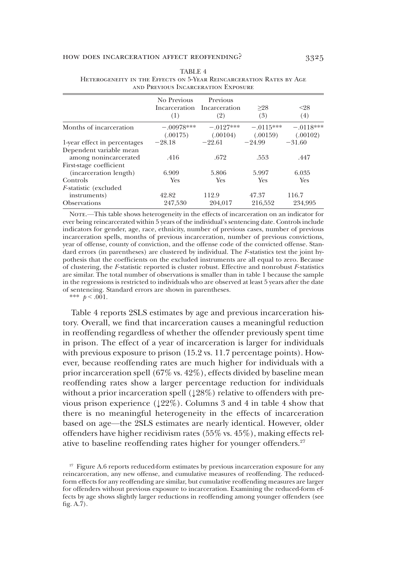#### how does incarceration affect reoffending? 3325

|                                                  | No Previous<br>(1)       | Previous<br>Incarceration Incarceration<br>(2) | >28<br>(3)              | $< \!\!28$<br>(4)       |
|--------------------------------------------------|--------------------------|------------------------------------------------|-------------------------|-------------------------|
| Months of incarceration                          | $-.00978***$<br>(.00175) | $-.0127***$<br>(.00104)                        | $-.0115***$<br>(.00159) | $-.0118***$<br>(.00102) |
| 1-year effect in percentages                     | $-28.18$                 | $-22.61$                                       | $-24.99$                | $-31.60$                |
| Dependent variable mean<br>among nonincarcerated | .416                     | .672                                           | .553                    | .447                    |
| First-stage coefficient                          |                          |                                                |                         |                         |
| (incarceration length)                           | 6.909                    | 5.806                                          | 5.997                   | 6.035                   |
| Controls                                         | Yes                      | <b>Yes</b>                                     | <b>Yes</b>              | <b>Yes</b>              |
| <i>F</i> -statistic (excluded                    |                          |                                                |                         |                         |
| instruments)                                     | 42.82                    | 112.9                                          | 47.37                   | 116.7                   |
| <b>Observations</b>                              | 247,530                  | 204.017                                        | 216.552                 | 234.995                 |

#### TABLE 4 Heterogeneity in the Effects on 5-Year Reincarceration Rates by Age and Previous Incarceration Exposure

NOTE.—This table shows heterogeneity in the effects of incarceration on an indicator for ever being reincarcerated within 5 years of the individual's sentencing date. Controls include indicators for gender, age, race, ethnicity, number of previous cases, number of previous incarceration spells, months of previous incarceration, number of previous convictions, year of offense, county of conviction, and the offense code of the convicted offense. Standard errors (in parentheses) are clustered by individual. The F-statistics test the joint hypothesis that the coefficients on the excluded instruments are all equal to zero. Because of clustering, the F-statistic reported is cluster robust. Effective and nonrobust F-statistics are similar. The total number of observations is smaller than in table 1 because the sample in the regressions is restricted to individuals who are observed at least 5 years after the date of sentencing. Standard errors are shown in parentheses.

\*\*\*  $b < .001$ .

Table 4 reports 2SLS estimates by age and previous incarceration history. Overall, we find that incarceration causes a meaningful reduction in reoffending regardless of whether the offender previously spent time in prison. The effect of a year of incarceration is larger for individuals with previous exposure to prison (15.2 vs. 11.7 percentage points). However, because reoffending rates are much higher for individuals with a prior incarceration spell (67% vs. 42%), effects divided by baseline mean reoffending rates show a larger percentage reduction for individuals without a prior incarceration spell  $(128%)$  relative to offenders with previous prison experience  $(122\%)$ . Columns 3 and 4 in table 4 show that there is no meaningful heterogeneity in the effects of incarceration based on age—the 2SLS estimates are nearly identical. However, older offenders have higher recidivism rates (55% vs. 45%), making effects relative to baseline reoffending rates higher for younger offenders.<sup>27</sup>

<sup>&</sup>lt;sup>27</sup> Figure A.6 reports reduced-form estimates by previous incarceration exposure for any reincarceration, any new offense, and cumulative measures of reoffending. The reducedform effects for any reoffending are similar, but cumulative reoffending measures are larger for offenders without previous exposure to incarceration. Examining the reduced-form effects by age shows slightly larger reductions in reoffending among younger offenders (see fig. A.7).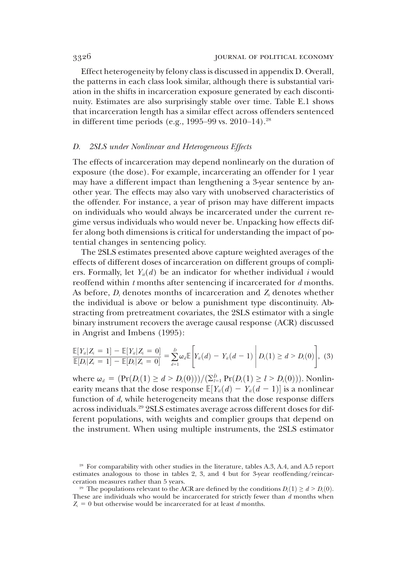Effect heterogeneity by felony class is discussed in appendix D. Overall, the patterns in each class look similar, although there is substantial variation in the shifts in incarceration exposure generated by each discontinuity. Estimates are also surprisingly stable over time. Table E.1 shows that incarceration length has a similar effect across offenders sentenced in different time periods (e.g., 1995–99 vs. 2010–14).<sup>28</sup>

### D. 2SLS under Nonlinear and Heterogeneous Effects

The effects of incarceration may depend nonlinearly on the duration of exposure (the dose). For example, incarcerating an offender for 1 year may have a different impact than lengthening a 3-year sentence by another year. The effects may also vary with unobserved characteristics of the offender. For instance, a year of prison may have different impacts on individuals who would always be incarcerated under the current regime versus individuals who would never be. Unpacking how effects differ along both dimensions is critical for understanding the impact of potential changes in sentencing policy.

The 2SLS estimates presented above capture weighted averages of the effects of different doses of incarceration on different groups of compliers. Formally, let  $Y_{it}(d)$  be an indicator for whether individual *i* would reoffend within  $t$  months after sentencing if incarcerated for  $d$  months. As before,  $D_i$  denotes months of incarceration and  $Z_i$  denotes whether the individual is above or below a punishment type discontinuity. Abstracting from pretreatment covariates, the 2SLS estimator with a single binary instrument recovers the average causal response (ACR) discussed in Angrist and Imbens (1995):

$$
\frac{\mathbb{E}[Y_{i}|Z_{i}=1]-\mathbb{E}[Y_{i}|Z_{i}=0]}{\mathbb{E}[D_{i}|Z_{i}=1]-\mathbb{E}[D_{i}|Z_{i}=0]}=\sum_{d=1}^{D}\omega_{d}\mathbb{E}\left[Y_{i}(d)-Y_{i}(d-1)\middle|D_{i}(1)\geq d>D_{i}(0)\right], (3)
$$

where  $\omega_d = (Pr(D_i(1) \ge d > D_i(0)))/(\sum_{l=1}^{\bar{D}} Pr(D_i(1) \ge l > D_i(0))).$  Nonlin-<br>early means that the dose response  $\mathbb{E}[Y(d) - Y(d-1)]$  is a nonlinear earity means that the dose response  $\mathbb{E}[Y_{it}(d) - Y_{it}(d-1)]$  is a nonlinear<br>function of d while beterograpity means that the dose response differs function of d, while heterogeneity means that the dose response differs across individuals.<sup>29</sup> 2SLS estimates average across different doses for different populations, with weights and complier groups that depend on the instrument. When using multiple instruments, the 2SLS estimator

<sup>&</sup>lt;sup>28</sup> For comparability with other studies in the literature, tables A.3, A.4, and A.5 report estimates analogous to those in tables 2, 3, and 4 but for 3-year reoffending/reincarceration measures rather than 5 years.

<sup>&</sup>lt;sup>29</sup> The populations relevant to the ACR are defined by the conditions  $D_i(1) \geq d > D_i(0)$ . These are individuals who would be incarcerated for strictly fewer than d months when  $Z_i = 0$  but otherwise would be incarcerated for at least d months.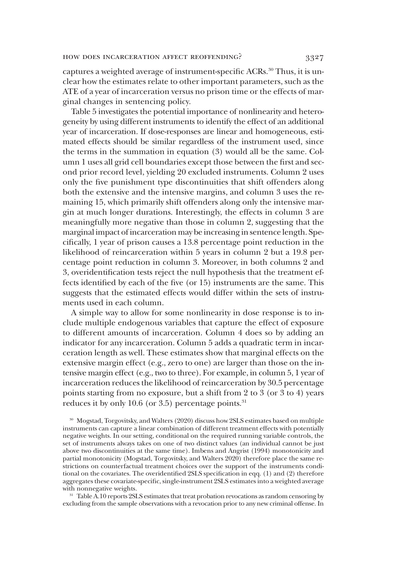captures a weighted average of instrument-specific ACRs.<sup>30</sup> Thus, it is unclear how the estimates relate to other important parameters, such as the ATE of a year of incarceration versus no prison time or the effects of marginal changes in sentencing policy.

Table 5 investigates the potential importance of nonlinearity and heterogeneity by using different instruments to identify the effect of an additional year of incarceration. If dose-responses are linear and homogeneous, estimated effects should be similar regardless of the instrument used, since the terms in the summation in equation (3) would all be the same. Column 1 uses all grid cell boundaries except those between the first and second prior record level, yielding 20 excluded instruments. Column 2 uses only the five punishment type discontinuities that shift offenders along both the extensive and the intensive margins, and column 3 uses the remaining 15, which primarily shift offenders along only the intensive margin at much longer durations. Interestingly, the effects in column 3 are meaningfully more negative than those in column 2, suggesting that the marginal impact of incarceration may be increasing in sentence length. Specifically, 1 year of prison causes a 13.8 percentage point reduction in the likelihood of reincarceration within 5 years in column 2 but a 19.8 percentage point reduction in column 3. Moreover, in both columns 2 and 3, overidentification tests reject the null hypothesis that the treatment effects identified by each of the five (or 15) instruments are the same. This suggests that the estimated effects would differ within the sets of instruments used in each column.

A simple way to allow for some nonlinearity in dose response is to include multiple endogenous variables that capture the effect of exposure to different amounts of incarceration. Column 4 does so by adding an indicator for any incarceration. Column 5 adds a quadratic term in incarceration length as well. These estimates show that marginal effects on the extensive margin effect (e.g., zero to one) are larger than those on the intensive margin effect (e.g., two to three). For example, in column 5, 1 year of incarceration reduces the likelihood of reincarceration by 30.5 percentage points starting from no exposure, but a shift from 2 to 3 (or 3 to 4) years reduces it by only 10.6 (or 3.5) percentage points. $31$ 

<sup>30</sup> Mogstad, Torgovitsky, and Walters (2020) discuss how 2SLS estimates based on multiple instruments can capture a linear combination of different treatment effects with potentially negative weights. In our setting, conditional on the required running variable controls, the set of instruments always takes on one of two distinct values (an individual cannot be just above two discontinuities at the same time). Imbens and Angrist (1994) monotonicity and partial monotonicity (Mogstad, Torgovitsky, and Walters 2020) therefore place the same restrictions on counterfactual treatment choices over the support of the instruments conditional on the covariates. The overidentified 2SLS specification in eqq. (1) and (2) therefore aggregates these covariate-specific, single-instrument 2SLS estimates into a weighted average with nonnegative weights.

<sup>31</sup> Table A.10 reports 2SLS estimates that treat probation revocations as random censoring by excluding from the sample observations with a revocation prior to any new criminal offense. In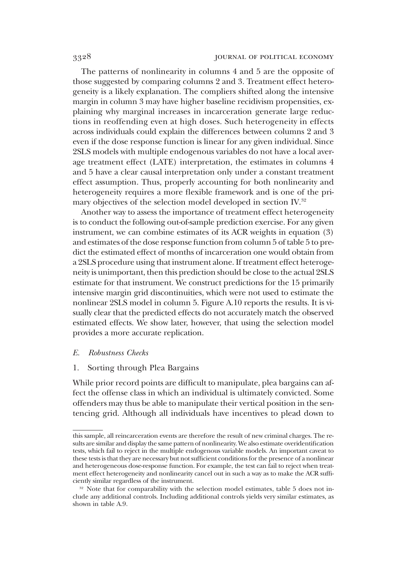The patterns of nonlinearity in columns 4 and 5 are the opposite of those suggested by comparing columns 2 and 3. Treatment effect heterogeneity is a likely explanation. The compliers shifted along the intensive margin in column 3 may have higher baseline recidivism propensities, explaining why marginal increases in incarceration generate large reductions in reoffending even at high doses. Such heterogeneity in effects across individuals could explain the differences between columns 2 and 3 even if the dose response function is linear for any given individual. Since 2SLS models with multiple endogenous variables do not have a local average treatment effect (LATE) interpretation, the estimates in columns 4 and 5 have a clear causal interpretation only under a constant treatment effect assumption. Thus, properly accounting for both nonlinearity and heterogeneity requires a more flexible framework and is one of the primary objectives of the selection model developed in section IV.<sup>32</sup>

Another way to assess the importance of treatment effect heterogeneity is to conduct the following out-of-sample prediction exercise. For any given instrument, we can combine estimates of its ACR weights in equation (3) and estimates of the dose response function from column 5 of table 5 to predict the estimated effect of months of incarceration one would obtain from a 2SLS procedure using that instrument alone. If treatment effect heterogeneity is unimportant, then this prediction should be close to the actual 2SLS estimate for that instrument. We construct predictions for the 15 primarily intensive margin grid discontinuities, which were not used to estimate the nonlinear 2SLS model in column 5. Figure A.10 reports the results. It is visually clear that the predicted effects do not accurately match the observed estimated effects. We show later, however, that using the selection model provides a more accurate replication.

## E. Robustness Checks

#### 1. Sorting through Plea Bargains

While prior record points are difficult to manipulate, plea bargains can affect the offense class in which an individual is ultimately convicted. Some offenders may thus be able to manipulate their vertical position in the sentencing grid. Although all individuals have incentives to plead down to

this sample, all reincarceration events are therefore the result of new criminal charges. The results are similar and display the same pattern of nonlinearity. We also estimate overidentification tests, which fail to reject in the multiple endogenous variable models. An important caveat to these tests is that they are necessary but not sufficient conditions for the presence of a nonlinear and heterogeneous dose-response function. For example, the test can fail to reject when treatment effect heterogeneity and nonlinearity cancel out in such a way as to make the ACR sufficiently similar regardless of the instrument.

<sup>&</sup>lt;sup>32</sup> Note that for comparability with the selection model estimates, table 5 does not include any additional controls. Including additional controls yields very similar estimates, as shown in table A.9.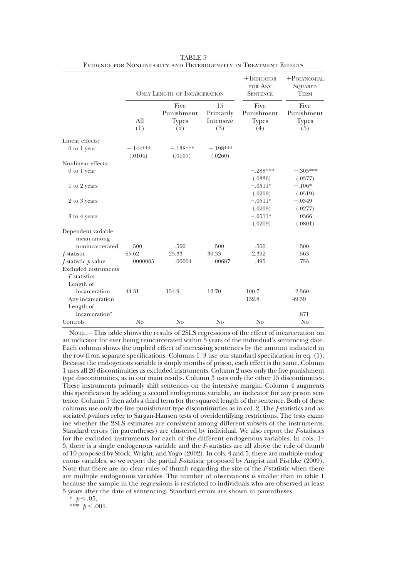|                                  | <b>ONLY LENGTH OF INCARCERATION</b> |                                           |                                     | $+$ INDICATOR<br>FOR ANY<br><b>SENTENCE</b> | $+$ POLYNOMIAL<br><b>SQUARED</b><br><b>TERM</b> |  |
|----------------------------------|-------------------------------------|-------------------------------------------|-------------------------------------|---------------------------------------------|-------------------------------------------------|--|
|                                  | A11<br>(1)                          | Five<br>Punishment<br><b>Types</b><br>(2) | 15<br>Primarily<br>Intensive<br>(3) | Five<br>Punishment<br><b>Types</b><br>(4)   | Five<br>Punishment<br><b>Types</b><br>(5)       |  |
| Linear effects:                  |                                     |                                           |                                     |                                             |                                                 |  |
| $0$ to 1 year                    | $-.144***$<br>(.0104)               | $-.138***$<br>(.0107)                     | $-.198***$<br>(.0260)               |                                             |                                                 |  |
| Nonlinear effects:               |                                     |                                           |                                     |                                             |                                                 |  |
| $0$ to $1$ year                  |                                     |                                           |                                     | $-.288***$                                  | $-.305***$                                      |  |
|                                  |                                     |                                           |                                     | (.0336)                                     | (.0377)                                         |  |
| 1 to 2 years                     |                                     |                                           |                                     | $-.0511*$                                   | $-.106*$                                        |  |
|                                  |                                     |                                           |                                     | (.0209)                                     | (.0519)                                         |  |
| 2 to 3 years                     |                                     |                                           |                                     | $-.0511*$                                   | $-.0349$                                        |  |
|                                  |                                     |                                           |                                     | (.0209)                                     | (.0277)                                         |  |
| 3 to 4 years                     |                                     |                                           |                                     | $-.0511*$                                   | .0366                                           |  |
|                                  |                                     |                                           |                                     | (.0209)                                     | (.0801)                                         |  |
| Dependent variable<br>mean among |                                     |                                           |                                     |                                             |                                                 |  |
| nonincarcerated                  | .500                                | .500                                      | .500                                | .500                                        | .500                                            |  |
| <i>J</i> -statistic              | 65.62                               | 25.33                                     | 30.33                               | 2.392                                       | .563                                            |  |
| $J$ -statistic $p$ -value        | .0000005                            | .00004                                    | .00687                              | .495                                        | .755                                            |  |
| <b>Excluded</b> instruments      |                                     |                                           |                                     |                                             |                                                 |  |
| F-statistics:                    |                                     |                                           |                                     |                                             |                                                 |  |
| Length of                        |                                     |                                           |                                     |                                             |                                                 |  |
| incarceration                    | 44.31                               | 154.9                                     | 12.70                               | 100.7                                       | 2.560                                           |  |
| Any incarceration                |                                     |                                           |                                     | 132.8                                       | 49.39                                           |  |
| Length of                        |                                     |                                           |                                     |                                             |                                                 |  |
| incarceration <sup>2</sup>       |                                     |                                           |                                     |                                             | .871                                            |  |
| Controls                         | No                                  | No                                        | No                                  | No                                          | No                                              |  |

TABLE 5 Evidence for Nonlinearity and Heterogeneity in Treatment Effects

NOTE.—This table shows the results of 2SLS regressions of the effect of incarceration on an indicator for ever being reincarcerated within 5 years of the individual's sentencing date. Each column shows the implied effect of increasing sentences by the amount indicated in the row from separate specifications. Columns 1–3 use our standard specification in eq. (1). Because the endogenous variable is simply months of prison, each effect is the same. Column 1 uses all 20 discontinuities as excluded instruments. Column 2 uses only the five punishment type discontinuities, as in our main results. Column 3 uses only the other 15 discontinuities. These instruments primarily shift sentences on the intensive margin. Column 4 augments this specification by adding a second endogenous variable, an indicator for any prison sentence. Column 5 then adds a third term for the squared length of the sentence. Both of these columns use only the five punishment type discontinuities as in col. 2. The *J*-statistics and associated p-values refer to Sargan-Hansen tests of overidentifying restrictions. The tests examine whether the 2SLS estimates are consistent among different subsets of the instruments. Standard errors (in parentheses) are clustered by individual. We also report the F-statistics for the excluded instruments for each of the different endogenous variables. In cols. 1– 3, there is a single endogenous variable and the F-statistics are all above the rule of thumb of 10 proposed by Stock, Wright, and Yogo (2002). In cols. 4 and 5, there are multiple endogenous variables, so we report the partial F-statistic proposed by Angrist and Pischke (2009). Note that there are no clear rules of thumb regarding the size of the F-statistic when there are multiple endogenous variables. The number of observations is smaller than in table 1 because the sample in the regressions is restricted to individuals who are observed at least 5 years after the date of sentencing. Standard errors are shown in parentheses.

\*  $p < .05$ .

\*\*\*  $p < .001$ .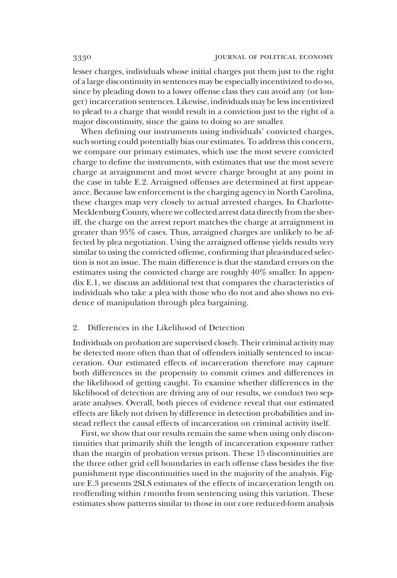lesser charges, individuals whose initial charges put them just to the right of a large discontinuity in sentences may be especially incentivized to do so, since by pleading down to a lower offense class they can avoid any (or longer) incarceration sentences. Likewise, individuals may be less incentivized to plead to a charge that would result in a conviction just to the right of a major discontinuity, since the gains to doing so are smaller.

When defining our instruments using individuals' convicted charges, such sorting could potentially bias our estimates. To address this concern, we compare our primary estimates, which use the most severe convicted charge to define the instruments, with estimates that use the most severe charge at arraignment and most severe charge brought at any point in the case in table E.2. Arraigned offenses are determined at first appearance. Because law enforcement is the charging agency in North Carolina, these charges map very closely to actual arrested charges. In Charlotte-Mecklenburg County, where we collected arrest data directly from the sheriff, the charge on the arrest report matches the charge at arraignment in greater than 95% of cases. Thus, arraigned charges are unlikely to be affected by plea negotiation. Using the arraigned offense yields results very similar to using the convicted offense, confirming that plea-induced selection is not an issue. The main difference is that the standard errors on the estimates using the convicted charge are roughly 40% smaller. In appendix E.1, we discuss an additional test that compares the characteristics of individuals who take a plea with those who do not and also shows no evidence of manipulation through plea bargaining.

# 2. Differences in the Likelihood of Detection

Individuals on probation are supervised closely. Their criminal activity may be detected more often than that of offenders initially sentenced to incarceration. Our estimated effects of incarceration therefore may capture both differences in the propensity to commit crimes and differences in the likelihood of getting caught. To examine whether differences in the likelihood of detection are driving any of our results, we conduct two separate analyses. Overall, both pieces of evidence reveal that our estimated effects are likely not driven by difference in detection probabilities and instead reflect the causal effects of incarceration on criminal activity itself.

First, we show that our results remain the same when using only discontinuities that primarily shift the length of incarceration exposure rather than the margin of probation versus prison. These 15 discontinuities are the three other grid cell boundaries in each offense class besides the five punishment type discontinuities used in the majority of the analysis. Figure E.3 presents 2SLS estimates of the effects of incarceration length on reoffending within  $t$  months from sentencing using this variation. These estimates show patterns similar to those in our core reduced-form analysis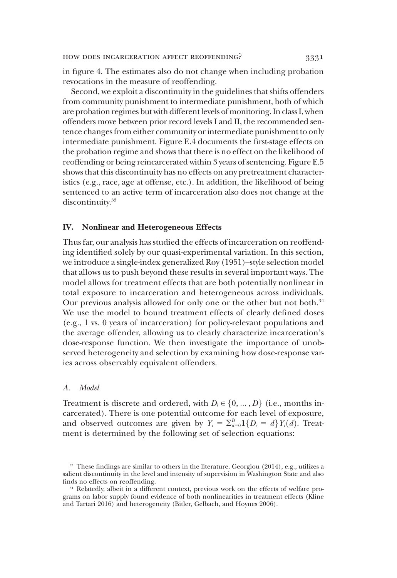in figure 4. The estimates also do not change when including probation revocations in the measure of reoffending.

Second, we exploit a discontinuity in the guidelines that shifts offenders from community punishment to intermediate punishment, both of which are probation regimes but with different levels of monitoring. In class I, when offenders move between prior record levels I and II, the recommended sentence changes from either community or intermediate punishment to only intermediate punishment. Figure E.4 documents the first-stage effects on the probation regime and shows that there is no effect on the likelihood of reoffending or being reincarcerated within 3 years of sentencing. Figure E.5 shows that this discontinuity has no effects on any pretreatment characteristics (e.g., race, age at offense, etc.). In addition, the likelihood of being sentenced to an active term of incarceration also does not change at the discontinuity.<sup>33</sup>

#### IV. Nonlinear and Heterogeneous Effects

Thus far, our analysis has studied the effects of incarceration on reoffending identified solely by our quasi-experimental variation. In this section, we introduce a single-index generalized Roy (1951)–style selection model that allows us to push beyond these results in several important ways. The model allows for treatment effects that are both potentially nonlinear in total exposure to incarceration and heterogeneous across individuals. Our previous analysis allowed for only one or the other but not both.<sup>34</sup> We use the model to bound treatment effects of clearly defined doses (e.g., 1 vs. 0 years of incarceration) for policy-relevant populations and the average offender, allowing us to clearly characterize incarceration's dose-response function. We then investigate the importance of unobserved heterogeneity and selection by examining how dose-response varies across observably equivalent offenders.

## A. Model

Treatment is discrete and ordered, with  $D_i \in \{0, ..., \bar{D}\}\)$  (i.e., months in-<br>carcerated). There is one potential outcome for each level of exposure carcerated). There is one potential outcome for each level of exposure, and observed outcomes are given by  $Y_i = \sum_{a=0}^{D} 1\{D_i = d\} Y_i(d)$ . Treatment is determined by the following set of selection equations:

<sup>33</sup> These findings are similar to others in the literature. Georgiou (2014), e.g., utilizes a salient discontinuity in the level and intensity of supervision in Washington State and also finds no effects on reoffending.

<sup>34</sup> Relatedly, albeit in a different context, previous work on the effects of welfare programs on labor supply found evidence of both nonlinearities in treatment effects (Kline and Tartari 2016) and heterogeneity (Bitler, Gelbach, and Hoynes 2006).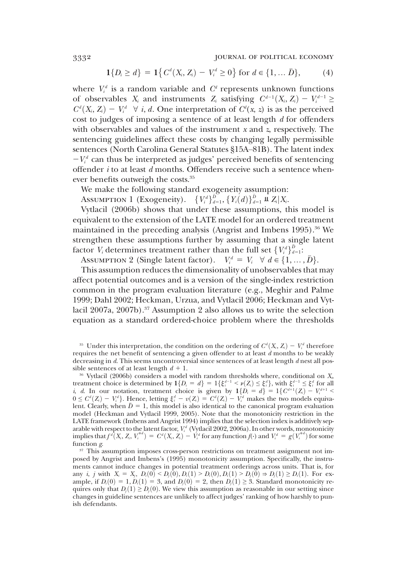3332 journal of political economy

$$
1\{D_i \ge d\} = 1\{C^d(X_i, Z_i) - V_i^d \ge 0\} \text{ for } d \in \{1, \dots \bar{D}\},
$$
 (4)

where  $V_i^d$  is a random variable and  $C^d$  represents unknown functions of observables  $X_i$  and instruments  $Z_i$  satisfying  $C^{d-1}(X_i, Z_i) - V_i^{d-1} \ge C^d(X, Z_i) - V_i^d \quad \forall i, d$  One interpretation of  $C^d(x, z)$  is as the perceived  $C^d(X_i, Z_i) - V_i^d \quad \forall \ i, d$ . One interpretation of  $C^d(x, z)$  is as the perceived<br>cost to judges of imposing a sentence of at least length d for offenders cost to judges of imposing a sentence of at least length  $d$  for offenders with observables and values of the instrument  $x$  and  $z$ , respectively. The sentencing guidelines affect these costs by changing legally permissible sentences (North Carolina General Statutes §15A–81B). The latent index  $-V_i^d$  can thus be interpreted as judges' perceived benefits of sentencing offender *i* to at least *d* months. Offenders receive such a sentence whenever benefits outweigh the costs.<sup>35</sup>

We make the following standard exogeneity assumption:

Assumption 1 (Exogeneity).  $\{V_i^d\}_{d=1}^D$ ,  $\{Y_i(d)\}_{d=1}^D$  **u**  $Z_i|X_i$ .<br>Vytlacil (2006b) shows that under these assumptions the

Vytlacil (2006b) shows that under these assumptions, this model is equivalent to the extension of the LATE model for an ordered treatment maintained in the preceding analysis (Angrist and Imbens  $1995$ ).<sup>36</sup> We strengthen these assumptions further by assuming that a single latent factor  $V_i$  determines treatment rather than the full set  $\{V_i^d\}_{a=1}^{\bar{D}}$ :<br>Assumentor  $2$  (Single latent factor)  $V^d = V_i \ \forall \ d \in I_1$ 

Assumption 2 (Single latent factor).  $V_i^d = V_i \quad \forall d \in \{1, ..., \bar{D}\}$ .<br>This assumption reduces the dimensionality of unobservables that

This assumption reduces the dimensionality of unobservables that may affect potential outcomes and is a version of the single-index restriction common in the program evaluation literature (e.g., Meghir and Palme 1999; Dahl 2002; Heckman, Urzua, and Vytlacil 2006; Heckman and Vytlacil  $2007a$ ,  $2007b$ ).<sup>37</sup> Assumption 2 also allows us to write the selection equation as a standard ordered-choice problem where the thresholds

<sup>&</sup>lt;sup>35</sup> Under this interpretation, the condition on the ordering of  $C^d(X_i, Z_i) - V_i^d$  therefore quires the net benefit of sentencing a given offender to at least d months to be weakly requires the net benefit of sentencing a given offender to at least  $d$  months to be weakly decreasing in d. This seems uncontroversial since sentences of at least length d nest all possible sentences of at least length  $d + 1$ .

 $36$  Vytlacil (2006b) considers a model with random thresholds where, conditional on  $X_i$ , treatment choice is determined by  $1\{D_i = d\} = 1\{\xi_i^{d-1} \le \nu(Z_i) \le \xi_i^d\}$ , with  $\xi_i^{d-1} \le \xi_i^d$  for all  $i, d$ . In our notation, treatment choice is given by  $1\{D_i = d\} = 1\{C^{d+1}(Z) - V^{d+1} \le \xi_i^d\}$ i, d. In our notation, treatment choice is given by  $1\{D_i = d\} = 1\{C^{d+1}(Z_i) - V_i^{d+1} \le 0 \le C^d(Z_i) - V^d\}$ . Hence letting  $\xi^d - v(Z_i) = C^d(Z_i) - V^d$  makes the two models equiva- $0 \leq C^d(Z_i) - V_i^d$ . Hence, letting  $\xi_i^d - v(Z_i) = C^d(Z_i) - V_i^d$  makes the two models equiva-<br>lent Clearly when  $\overline{D} = 1$  this model is also identical to the canonical program evaluation lent. Clearly, when  $\bar{D}=1$ , this model is also identical to the canonical program evaluation model (Heckman and Vytlacil 1999, 2005). Note that the monotonicity restriction in the LATE framework (Imbens and Angrist 1994) implies that the selection index is additively separable with respect to the latent factor,  $V_i^d$  (Vytlacil 2002, 2006a). In other words, monotonicity implies that  $f^d(X_i, Z_i, V_i^{*d}) = C^d(X_i, Z_i) - V_i^d$  for any function  $f(\cdot)$  and  $V_i^d = g(V_i^{*d})$  for some function g.

<sup>&</sup>lt;sup>37</sup> This assumption imposes cross-person restrictions on treatment assignment not imposed by Angrist and Imbens's (1995) monotonicity assumption. Specifically, the instruments cannot induce changes in potential treatment orderings across units. That is, for any *i*, *j* with  $X_i = X_j$ ,  $D_i(0) \leq D_i(0), D_i(1) \geq D_i(0), D_i(1) \geq D_i(0) \Rightarrow D_j(1) \geq D_i(1)$ . For example, if  $D_i(0) = 1$ ,  $D_i(1) = 3$ , and  $D_i(0) = 2$ , then  $D_i(1) \ge 3$ . Standard monotonicity requires only that  $D_i(1) \geq D_i(0)$ . We view this assumption as reasonable in our setting since changes in guideline sentences are unlikely to affect judges' ranking of how harshly to punish defendants.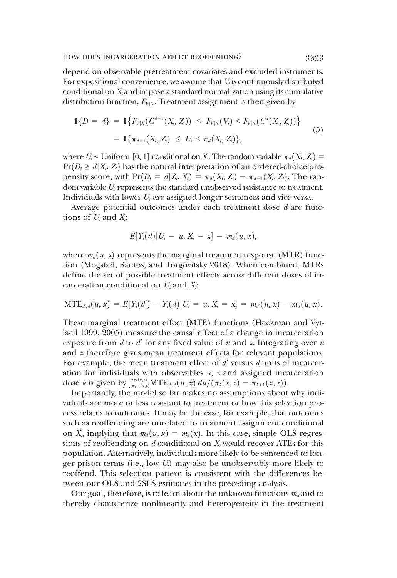depend on observable pretreatment covariates and excluded instruments. For expositional convenience, we assume that  $V_i$  is continuously distributed conditional on  $X_i$  and impose a standard normalization using its cumulative distribution function,  $F_{V|X}$ . Treatment assignment is then given by

$$
1\{D = d\} = 1\{F_{V|X}(C^{d+1}(X_i, Z_i)) \leq F_{V|X}(V_i) < F_{V|X}(C^d(X_i, Z_i))\}
$$
\n
$$
= 1\{\pi_{d+1}(X_i, Z_i) \leq U_i < \pi_d(X_i, Z_i)\},\tag{5}
$$

where  $U_i$  ∼ Uniform [0, 1] conditional on  $X_i$ . The random variable  $\pi_d(X_i, Z_i) =$  $Pr(D_i \ge d | X_i, Z_i)$  has the natural interpretation of an ordered-choice propensity score, with  $Pr(D_i = d | Z_i, X_i) = \pi_d(X_i, Z_i) - \pi_{d+1}(X_i, Z_i)$ . The random variable  $U_i$  represents the standard unobserved resistance to treatment. Individuals with lower  $U_i$  are assigned longer sentences and vice versa.

Average potential outcomes under each treatment dose d are functions of  $U_i$  and  $X_i$ :

$$
E[Y_i(d)|U_i = u, X_i = x] = m_d(u, x),
$$

where  $m_d(u, x)$  represents the marginal treatment response (MTR) function (Mogstad, Santos, and Torgovitsky 2018). When combined, MTRs define the set of possible treatment effects across different doses of incarceration conditional on  $U_i$  and  $X_i$ :

$$
MTE_{d,d}(u,x) = E[Y_i(d') - Y_i(d)|U_i = u, X_i = x] = m_d(u,x) - m_d(u,x).
$$

These marginal treatment effect (MTE) functions (Heckman and Vytlacil 1999, 2005) measure the causal effect of a change in incarceration exposure from  $d$  to  $d'$  for any fixed value of  $u$  and  $x$ . Integrating over  $u$ and x therefore gives mean treatment effects for relevant populations. For example, the mean treatment effect of  $d'$  versus  $d$  units of incarceration for individuals with observables x, z and assigned incarceration dose k is given by  $\int_{\pi_k(x,z)}^{\pi_k(x,z)} MTE_{d,d}(u, x) du / (\pi_k(x, z) - \pi_{k+1}(x, z)).$ <br>Importantly the model so far makes no assumptions about

Importantly, the model so far makes no assumptions about why individuals are more or less resistant to treatment or how this selection process relates to outcomes. It may be the case, for example, that outcomes such as reoffending are unrelated to treatment assignment conditional on  $X_i$ , implying that  $m_d(u, x) = m_d(x)$ . In this case, simple OLS regressions of reoffending on  $d$  conditional on  $X_i$  would recover ATEs for this population. Alternatively, individuals more likely to be sentenced to longer prison terms (i.e., low  $U_i$ ) may also be unobservably more likely to reoffend. This selection pattern is consistent with the differences between our OLS and 2SLS estimates in the preceding analysis.

Our goal, therefore, is to learn about the unknown functions  $m_d$  and to thereby characterize nonlinearity and heterogeneity in the treatment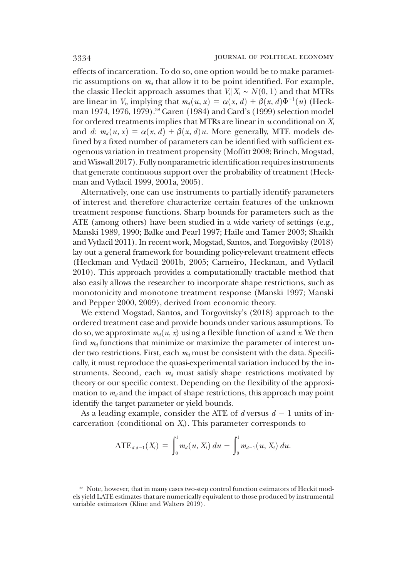effects of incarceration. To do so, one option would be to make parametric assumptions on  $m_d$  that allow it to be point identified. For example, the classic Heckit approach assumes that  $V_i | X_i \sim N(0, 1)$  and that MTRs are linear in  $V_i$ , implying that  $m_d(u, x) = \alpha(x, d) + \beta(x, d)\Phi^{-1}(u)$  (Heck-<br>man 1974–1976–1979) <sup>38</sup> Garen (1984) and Card's (1999) selection model man 1974, 1976, 1979).<sup>38</sup> Garen (1984) and Card's (1999) selection model for ordered treatments implies that MTRs are linear in  $u$  conditional on  $X_i$ and d:  $m_d(u, x) = \alpha(x, d) + \beta(x, d)u$ . More generally, MTE models defined by a fixed number of parameters can be identified with sufficient exogenous variation in treatment propensity (Moffitt 2008; Brinch, Mogstad, and Wiswall 2017). Fully nonparametric identification requires instruments that generate continuous support over the probability of treatment (Heckman and Vytlacil 1999, 2001a, 2005).

Alternatively, one can use instruments to partially identify parameters of interest and therefore characterize certain features of the unknown treatment response functions. Sharp bounds for parameters such as the ATE (among others) have been studied in a wide variety of settings (e.g., Manski 1989, 1990; Balke and Pearl 1997; Haile and Tamer 2003; Shaikh and Vytlacil 2011). In recent work, Mogstad, Santos, and Torgovitsky (2018) lay out a general framework for bounding policy-relevant treatment effects (Heckman and Vytlacil 2001b, 2005; Carneiro, Heckman, and Vytlacil 2010). This approach provides a computationally tractable method that also easily allows the researcher to incorporate shape restrictions, such as monotonicity and monotone treatment response (Manski 1997; Manski and Pepper 2000, 2009), derived from economic theory.

We extend Mogstad, Santos, and Torgovitsky's (2018) approach to the ordered treatment case and provide bounds under various assumptions. To do so, we approximate  $m_d(u, x)$  using a flexible function of u and x. We then find  $m_d$  functions that minimize or maximize the parameter of interest under two restrictions. First, each  $m_d$  must be consistent with the data. Specifically, it must reproduce the quasi-experimental variation induced by the instruments. Second, each  $m_d$  must satisfy shape restrictions motivated by theory or our specific context. Depending on the flexibility of the approximation to  $m_d$  and the impact of shape restrictions, this approach may point identify the target parameter or yield bounds.

As a leading example, consider the ATE of d versus  $d - 1$  units of incarceration (conditional on  $X_i$ ). This parameter corresponds to

$$
ATE_{d,d-1}(X_i) = \int_0^1 m_d(u, X_i) du - \int_0^1 m_{d-1}(u, X_i) du.
$$

<sup>38</sup> Note, however, that in many cases two-step control function estimators of Heckit models yield LATE estimates that are numerically equivalent to those produced by instrumental variable estimators (Kline and Walters 2019).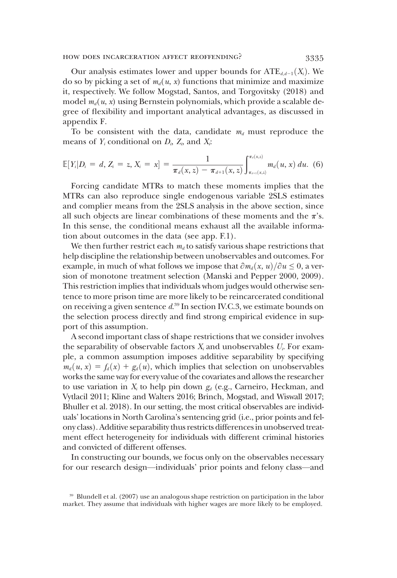appendix F.

Our analysis estimates lower and upper bounds for  $ATE_{d,d-1}(X_i)$ . We do so by picking a set of  $m_d(u, x)$  functions that minimize and maximize it, respectively. We follow Mogstad, Santos, and Torgovitsky (2018) and model  $m_d(u, x)$  using Bernstein polynomials, which provide a scalable degree of flexibility and important analytical advantages, as discussed in

To be consistent with the data, candidate  $m_d$  must reproduce the means of  $Y_i$  conditional on  $D_i$ ,  $Z_i$ , and  $X_i$ :

$$
\mathbb{E}[Y_i|D_i = d, Z_i = z, X_i = x] = \frac{1}{\pi_d(x, z) - \pi_{d+1}(x, z)} \int_{\pi_{d+1}(x, z)}^{\pi_d(x, z)} m_d(u, x) du.
$$
 (6)

Forcing candidate MTRs to match these moments implies that the MTRs can also reproduce single endogenous variable 2SLS estimates and complier means from the 2SLS analysis in the above section, since all such objects are linear combinations of these moments and the  $\pi$ 's. In this sense, the conditional means exhaust all the available information about outcomes in the data (see app. F.1).

We then further restrict each  $m_d$  to satisfy various shape restrictions that help discipline the relationship between unobservables and outcomes. For example, in much of what follows we impose that  $\partial m_d(x, u)/\partial u \leq 0$ , a version of monotone treatment selection (Manski and Pepper 2000, 2009). This restriction implies that individuals whom judges would otherwise sentence to more prison time are more likely to be reincarcerated conditional on receiving a given sentence  $d^{39}$  In section IV.C.3, we estimate bounds on the selection process directly and find strong empirical evidence in support of this assumption.

A second important class of shape restrictions that we consider involves the separability of observable factors  $X_i$  and unobservables  $U_i$ . For example, a common assumption imposes additive separability by specifying  $m_d(u, x) = f_d(x) + g_d(u)$ , which implies that selection on unobservables works the same way for every value of the covariates and allows the researcher to use variation in  $X_i$  to help pin down  $g_d$  (e.g., Carneiro, Heckman, and Vytlacil 2011; Kline and Walters 2016; Brinch, Mogstad, and Wiswall 2017; Bhuller et al. 2018). In our setting, the most critical observables are individuals' locations in North Carolina's sentencing grid (i.e., prior points and felony class). Additive separability thus restricts differences in unobserved treatment effect heterogeneity for individuals with different criminal histories and convicted of different offenses.

In constructing our bounds, we focus only on the observables necessary for our research design—individuals' prior points and felony class—and

<sup>39</sup> Blundell et al. (2007) use an analogous shape restriction on participation in the labor market. They assume that individuals with higher wages are more likely to be employed.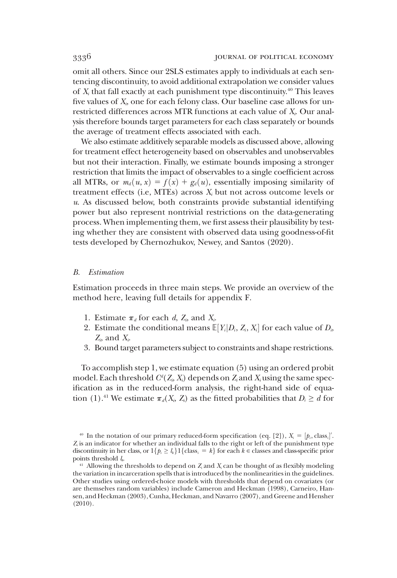omit all others. Since our 2SLS estimates apply to individuals at each sentencing discontinuity, to avoid additional extrapolation we consider values of  $X_i$  that fall exactly at each punishment type discontinuity.<sup>40</sup> This leaves five values of  $X_i$ , one for each felony class. Our baseline case allows for unrestricted differences across MTR functions at each value of  $X_i$ . Our analysis therefore bounds target parameters for each class separately or bounds the average of treatment effects associated with each.

We also estimate additively separable models as discussed above, allowing for treatment effect heterogeneity based on observables and unobservables but not their interaction. Finally, we estimate bounds imposing a stronger restriction that limits the impact of observables to a single coefficient across all MTRs, or  $m_d(u, x) = f(x) + g_d(u)$ , essentially imposing similarity of treatment effects (i.e, MTEs) across  $X_i$  but not across outcome levels or  $u$ . As discussed below, both constraints provide substantial identifying power but also represent nontrivial restrictions on the data-generating process. When implementing them, we first assess their plausibility by testing whether they are consistent with observed data using goodness-of-fit tests developed by Chernozhukov, Newey, and Santos (2020).

#### B. Estimation

Estimation proceeds in three main steps. We provide an overview of the method here, leaving full details for appendix F.

- 1. Estimate  $\pi_d$  for each d, Z<sub>i</sub>, and X<sub>i</sub>.
- 2. Estimate the conditional means  $\mathbb{E}[Y_i|D_i, Z_i, X_i]$  for each value of  $D_i$ ,  $Z_i$  and  $X_i$  $Z_i$ , and  $X_i$ .
- 3. Bound target parameters subject to constraints and shape restrictions.

To accomplish step 1, we estimate equation (5) using an ordered probit model. Each threshold  $C^l(Z_i,X_i)$  depends on  $Z_i$  and  $X_i$  using the same specification as in the reduced-form analysis, the right-hand side of equation (1).<sup>41</sup> We estimate  $\pi_d(X_i, Z_i)$  as the fitted probabilities that  $D_i \geq d$  for

<sup>&</sup>lt;sup>40</sup> In the notation of our primary reduced-form specification (eq. [2]),  $X_i = [p_i, class_i]'$ .<br>is an indicator for whether an individual falls to the right or left of the punishment type  $Z<sub>i</sub>$  is an indicator for whether an individual falls to the right or left of the punishment type discontinuity in her class, or  $1\{p_i \geq l_k\}$  [class<sub>i</sub> = k} for each k ∈ classes and class-specific prior points threshold  $l_k$ .

<sup>&</sup>lt;sup>41</sup> Allowing the thresholds to depend on  $Z_i$  and  $X_i$  can be thought of as flexibly modeling the variation in incarceration spells that is introduced by the nonlinearities in the guidelines. Other studies using ordered-choice models with thresholds that depend on covariates (or are themselves random variables) include Cameron and Heckman (1998), Carneiro, Hansen, and Heckman (2003), Cunha, Heckman, and Navarro (2007), and Greene and Hensher (2010).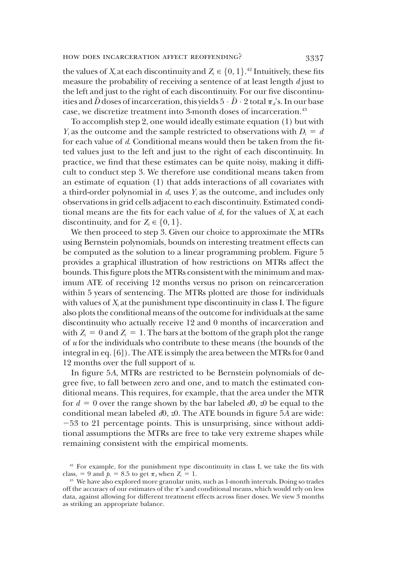the values of X<sub>i</sub> at each discontinuity and  $Z_i \in \{0, 1\}$ .<sup>42</sup> Intuitively, these fits<br>measure the probability of receiving a sentence of at least length diust to measure the probability of receiving a sentence of at least length  $d$  just to the left and just to the right of each discontinuity. For our five discontinuities and  $\bar{D}$  doses of incarceration, this yields  $5 \cdot \bar{D} \cdot 2$  total  $\pi_d$ 's. In our base<br>case, we discretize treatment into 3-month doses of incarceration.<sup>43</sup> case, we discretize treatment into 3-month doses of incarceration.<sup>43</sup>

To accomplish step 2, one would ideally estimate equation (1) but with  $Y_i$  as the outcome and the sample restricted to observations with  $D_i = d$ for each value of d. Conditional means would then be taken from the fitted values just to the left and just to the right of each discontinuity. In practice, we find that these estimates can be quite noisy, making it difficult to conduct step 3. We therefore use conditional means taken from an estimate of equation (1) that adds interactions of all covariates with a third-order polynomial in  $d$ , uses  $Y_i$  as the outcome, and includes only observations in grid cells adjacent to each discontinuity. Estimated conditional means are the fits for each value of  $d$ , for the values of  $X_i$  at each discontinuity, and for  $Z_i \in \{0, 1\}$ .

We then proceed to step 3. Given our choice to approximate the MTRs using Bernstein polynomials, bounds on interesting treatment effects can be computed as the solution to a linear programming problem. Figure 5 provides a graphical illustration of how restrictions on MTRs affect the bounds. This figure plots the MTRs consistent with the minimum and maximum ATE of receiving 12 months versus no prison on reincarceration within 5 years of sentencing. The MTRs plotted are those for individuals with values of  $X_i$  at the punishment type discontinuity in class I. The figure also plots the conditional means of the outcome for individuals at the same discontinuity who actually receive 12 and 0 months of incarceration and with  $Z_i = 0$  and  $Z_i = 1$ . The bars at the bottom of the graph plot the range of  $u$  for the individuals who contribute to these means (the bounds of the integral in eq. [6]). The ATE is simply the area between the MTRs for 0 and 12 months over the full support of  $u$ .

In figure 5A, MTRs are restricted to be Bernstein polynomials of degree five, to fall between zero and one, and to match the estimated conditional means. This requires, for example, that the area under the MTR for  $d = 0$  over the range shown by the bar labeled d0, z0 be equal to the conditional mean labeled  $d0$ ,  $z0$ . The ATE bounds in figure 5A are wide: 253 to 21 percentage points. This is unsurprising, since without additional assumptions the MTRs are free to take very extreme shapes while remaining consistent with the empirical moments.

<sup>&</sup>lt;sup>42</sup> For example, for the punishment type discontinuity in class I, we take the fits with class<sub>i</sub> = 9 and  $p_i$  = 8.5 to get  $\pi_d$  when  $Z_i$  = 1.

<sup>&</sup>lt;sup>43</sup> We have also explored more granular units, such as 1-month intervals. Doing so trades off the accuracy of our estimates of the  $\pi$ 's and conditional means, which would rely on less data, against allowing for different treatment effects across finer doses. We view 3 months as striking an appropriate balance.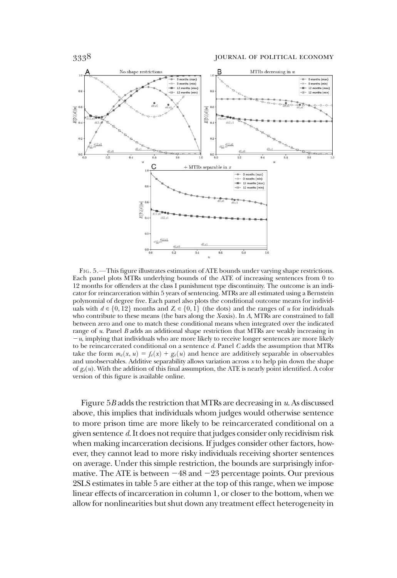

FIG. 5.—This figure illustrates estimation of ATE bounds under varying shape restrictions. Each panel plots MTRs underlying bounds of the ATE of increasing sentences from 0 to 12 months for offenders at the class I punishment type discontinuity. The outcome is an indicator for reincarceration within 5 years of sentencing. MTRs are all estimated using a Bernstein polynomial of degree five. Each panel also plots the conditional outcome means for individuals with  $d \in \{0, 12\}$  months and  $Z_i \in \{0, 1\}$  (the dots) and the ranges of u for individuals who contribute to these means (the bars along the X-axis). In A, MTRs are constrained to fall between zero and one to match these conditional means when integrated over the indicated range of u. Panel B adds an additional shape restriction that MTRs are weakly increasing in  $-u$ , implying that individuals who are more likely to receive longer sentences are more likely to be reincarcerated conditional on a sentence  $d$ . Panel  $C$  adds the assumption that MTRs take the form  $m_d(x, u) = f_d(x) + g_d(u)$  and hence are additively separable in observables and unobservables. Additive separability allows variation across  $x$  to help pin down the shape of  $g_d(u)$ . With the addition of this final assumption, the ATE is nearly point identified. A color version of this figure is available online.

Figure  $5B$  adds the restriction that MTRs are decreasing in  $u$ . As discussed above, this implies that individuals whom judges would otherwise sentence to more prison time are more likely to be reincarcerated conditional on a given sentence d. It does not require that judges consider only recidivism risk when making incarceration decisions. If judges consider other factors, however, they cannot lead to more risky individuals receiving shorter sentences on average. Under this simple restriction, the bounds are surprisingly informative. The ATE is between  $-48$  and  $-23$  percentage points. Our previous 2SLS estimates in table 5 are either at the top of this range, when we impose linear effects of incarceration in column 1, or closer to the bottom, when we allow for nonlinearities but shut down any treatment effect heterogeneity in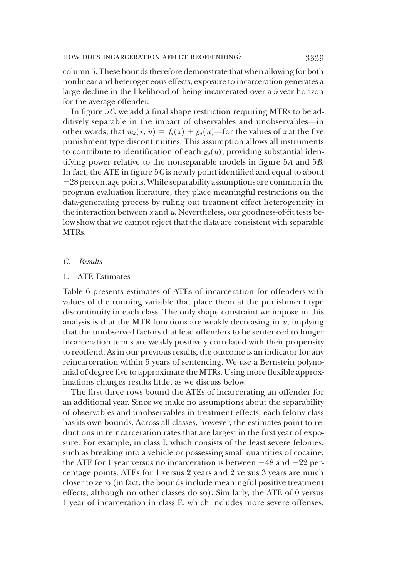column 5. These bounds therefore demonstrate that when allowing for both nonlinear and heterogeneous effects, exposure to incarceration generates a large decline in the likelihood of being incarcerated over a 5-year horizon for the average offender.

In figure 5C, we add a final shape restriction requiring MTRs to be additively separable in the impact of observables and unobservables—in other words, that  $m_d(x, u) = f_d(x) + g_d(u)$ —for the values of x at the five punishment type discontinuities. This assumption allows all instruments to contribute to identification of each  $g_d(u)$ , providing substantial identifying power relative to the nonseparable models in figure 5A and 5B. In fact, the ATE in figure  $5C$  is nearly point identified and equal to about 228 percentage points. While separability assumptions are common in the program evaluation literature, they place meaningful restrictions on the data-generating process by ruling out treatment effect heterogeneity in the interaction between x and u. Nevertheless, our goodness-of-fit tests below show that we cannot reject that the data are consistent with separable MTRs.

# C. Results

# 1. ATE Estimates

Table 6 presents estimates of ATEs of incarceration for offenders with values of the running variable that place them at the punishment type discontinuity in each class. The only shape constraint we impose in this analysis is that the MTR functions are weakly decreasing in  $u$ , implying that the unobserved factors that lead offenders to be sentenced to longer incarceration terms are weakly positively correlated with their propensity to reoffend. As in our previous results, the outcome is an indicator for any reincarceration within 5 years of sentencing. We use a Bernstein polynomial of degree five to approximate the MTRs. Using more flexible approximations changes results little, as we discuss below.

The first three rows bound the ATEs of incarcerating an offender for an additional year. Since we make no assumptions about the separability of observables and unobservables in treatment effects, each felony class has its own bounds. Across all classes, however, the estimates point to reductions in reincarceration rates that are largest in the first year of exposure. For example, in class I, which consists of the least severe felonies, such as breaking into a vehicle or possessing small quantities of cocaine, the ATE for 1 year versus no incarceration is between  $-48$  and  $-22$  percentage points. ATEs for 1 versus 2 years and 2 versus 3 years are much closer to zero (in fact, the bounds include meaningful positive treatment effects, although no other classes do so). Similarly, the ATE of 0 versus 1 year of incarceration in class E, which includes more severe offenses,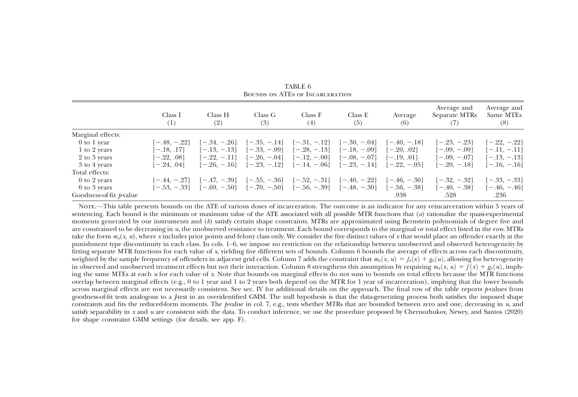|                         | Class I<br>(1) | Class H<br>(2) | Class G<br>(3)                               | Class F<br>(4)                                                                            | Class E<br>(5)                | Average<br>(6)                | Average and<br>Separate MTRs<br>(7) | Average and<br>Same MTEs<br>(8) |
|-------------------------|----------------|----------------|----------------------------------------------|-------------------------------------------------------------------------------------------|-------------------------------|-------------------------------|-------------------------------------|---------------------------------|
| Marginal effects:       |                |                |                                              |                                                                                           |                               |                               |                                     |                                 |
| 0 to 1 year             | $[-.48, -.22]$ |                | $[-.34, -.26]$ $[-.35, -.14]$ $[-.31, -.12]$ |                                                                                           | $[-.30, -.04]$ $[-.40, -.18]$ |                               | $[-.23, -.23]$                      | $[-.22, -.22]$                  |
| 1 to 2 years            | $[-.18, .17]$  |                | $[-.13, -.13]$ $[-.33, -.09]$                | $[-.28, -.13]$                                                                            | $[-.18, -.09]$                | $[-.20, .02]$                 | $[-.09, -.09]$                      | $[-.11, -.11]$                  |
| 2 to 3 years            | $[-.22, .08]$  | $[-.22, -.11]$ | $[-.26, -.04]$                               | $[-.12, -.00]$                                                                            | $[-.08, -.07]$                | $[-.19, .01]$                 | $[-.09, -.07]$                      | $[-.13, -.13]$                  |
| 3 to 4 years            | 1-.24. .041    |                | $[-.26, -.16]$ $[-.23, -.12]$                | $[-.14, -.06]$                                                                            |                               | $[-.23, -.14]$ $[-.22, -.05]$ | $[-.20, -.18]$                      | $[-.16, -.16]$                  |
| Total effects:          |                |                |                                              |                                                                                           |                               |                               |                                     |                                 |
| $0$ to 2 years          | $[-.44, -.27]$ |                |                                              | $[-.47, -.39]$ $[-.55, -.36]$ $[-.52, -.31]$                                              | $[-.40, -.22]$ $[-.46, -.30]$ |                               | $[-.32, -.32]$                      | $[-.33, -.33]$                  |
| $0$ to $3$ years        |                |                |                                              | $[-.53, -.33]$ $[-.69, -.50]$ $[-.70, -.50]$ $[-.56, -.39]$ $[-.48, -.30]$ $[-.56, -.38]$ |                               |                               | $[-.40, -.38]$                      | $[-.46, -.46]$                  |
| Goodness-of-fit p-value |                |                |                                              |                                                                                           |                               | .938                          | .528                                | .236                            |

TABLE 6Bounds on ATEs of Incarceration

Note.—This table presents bounds on the ATE of various doses of incarceration. The outcome is an indicator for any reincarceration within 5 years of sentencing. Each bound is the minimum or maximum value of the ATE associated with all possible MTR functions that (a) rationalize the quasi-experimental moments generated by our instruments and (b) satisfy certain shape constraints. MTRs are approximated using Bernstein polynomials of degree five and are constrained to be decreasing in u, the unobserved resistance to treatment. Each bound corresponds to the marginal or total effect listed in the row. MTRs take the form  $m_d(x,\,u)$ , where x includes prior points and felony class only. We consider the five distinct values of x that would place an offender exactly at the punishment type discontinuity in each class. In cols. 1–6, we impose no restriction on the relationship between unobserved and observed heterogeneity by fitting separate MTR functions for each value of <sup>x</sup>, yielding five different sets of bounds. Column 6 bounds the average of effects across each discontinuity, weighted by the sample frequency of offenders in adjacent grid cells. Column 7 adds the constraint that  $m_d(x, u) = f_d(x) + g_d(u)$ , allowing for heterogeneity in observed and unobserved treatment effects but not their interaction. Column 8 strengthens this assumption by requiring  $m_d(x, u) = f(x) + g_d(u)$ , implying the same MTEs at each  $u$  for each value of x. Note that bounds on marginal effects do not sum to bounds on total effects because the MTR functions overlap between marginal effects (e.g., 0 to 1 year and 1 to 2 years both depend on the MTR for 1 year of incarceration), implying that the lower bounds across marginal effects are not necessarily consistent. See sec. IV for additional details on the approach. The final row of the table reports  $p$ -values from goodness-of-fit tests analogous to <sup>a</sup> J-test in an overidentified GMM. The null hypothesis is that the data-generating process both satisfies the imposed shape constraints and fits the reduced-form moments. The p-value in col. 7, e.g., tests whether MTRs that are bounded between zero and one, decreasing in u, and satisfy separability in x and u are consistent with the data. To conduct inference, we use the procedure proposed by Chernozhukov, Newey, and Santos (2020) for shape constraint GMM settings (for details, see app. F).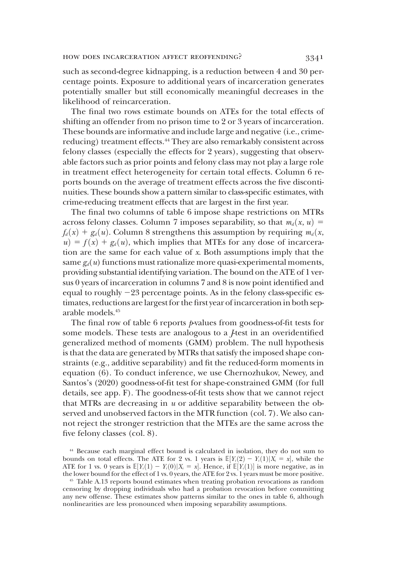such as second-degree kidnapping, is a reduction between 4 and 30 percentage points. Exposure to additional years of incarceration generates potentially smaller but still economically meaningful decreases in the likelihood of reincarceration.

The final two rows estimate bounds on ATEs for the total effects of shifting an offender from no prison time to 2 or 3 years of incarceration. These bounds are informative and include large and negative (i.e., crimereducing) treatment effects.<sup>44</sup> They are also remarkably consistent across felony classes (especially the effects for 2 years), suggesting that observable factors such as prior points and felony class may not play a large role in treatment effect heterogeneity for certain total effects. Column 6 reports bounds on the average of treatment effects across the five discontinuities. These bounds show a pattern similar to class-specific estimates, with crime-reducing treatment effects that are largest in the first year.

The final two columns of table 6 impose shape restrictions on MTRs across felony classes. Column 7 imposes separability, so that  $m_d(x, u) =$  $f_d(x) + g_d(u)$ . Column 8 strengthens this assumption by requiring  $m_d(x)$ ,  $u = f(x) + g_d(u)$ , which implies that MTEs for any dose of incarceration are the same for each value of x. Both assumptions imply that the same  $g_d(u)$  functions must rationalize more quasi-experimental moments, providing substantial identifying variation. The bound on the ATE of 1 versus 0 years of incarceration in columns 7 and 8 is now point identified and equal to roughly  $-23$  percentage points. As in the felony class-specific estimates, reductions are largest for the first year of incarceration in both separable models.45

The final row of table 6 reports  $\psi$ -values from goodness-of-fit tests for some models. These tests are analogous to a *J*-test in an overidentified generalized method of moments (GMM) problem. The null hypothesis is that the data are generated by MTRs that satisfy the imposed shape constraints (e.g., additive separability) and fit the reduced-form moments in equation (6). To conduct inference, we use Chernozhukov, Newey, and Santos's (2020) goodness-of-fit test for shape-constrained GMM (for full details, see app. F). The goodness-of-fit tests show that we cannot reject that MTRs are decreasing in  $u$  or additive separability between the observed and unobserved factors in the MTR function (col. 7). We also cannot reject the stronger restriction that the MTEs are the same across the five felony classes (col. 8).

<sup>44</sup> Because each marginal effect bound is calculated in isolation, they do not sum to bounds on total effects. The ATE for 2 vs. 1 years is  $\mathbb{E}[Y_i(2) - Y_i(1)|X_i = x]$ , while the ATE for 1 vs. 0 years is  $\mathbb{E}[Y_i(1) - Y_i(0)|X_i = x]$ . Hence if  $\mathbb{E}[Y_i(1)]$  is more negative as in ATE for 1 vs. 0 years is  $\mathbb{E}[Y_i(1) - Y_i(0)|X_i = x]$ . Hence, if  $\mathbb{E}[Y_i(1)]$  is more negative, as in the lower bound for the effect of 1 vs. 0 years the ATE for 9 vs. 1 years must be more positive the lower bound for the effect of 1 vs. 0 years, the ATE for 2 vs. 1 years must be more positive.

<sup>45</sup> Table A.13 reports bound estimates when treating probation revocations as random censoring by dropping individuals who had a probation revocation before committing any new offense. These estimates show patterns similar to the ones in table 6, although nonlinearities are less pronounced when imposing separability assumptions.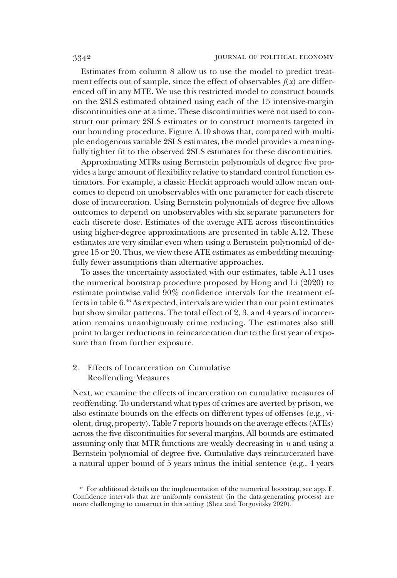Estimates from column 8 allow us to use the model to predict treatment effects out of sample, since the effect of observables  $f(x)$  are differenced off in any MTE. We use this restricted model to construct bounds on the 2SLS estimated obtained using each of the 15 intensive-margin discontinuities one at a time. These discontinuities were not used to construct our primary 2SLS estimates or to construct moments targeted in our bounding procedure. Figure A.10 shows that, compared with multiple endogenous variable 2SLS estimates, the model provides a meaningfully tighter fit to the observed 2SLS estimates for these discontinuities.

Approximating MTRs using Bernstein polynomials of degree five provides a large amount of flexibility relative to standard control function estimators. For example, a classic Heckit approach would allow mean outcomes to depend on unobservables with one parameter for each discrete dose of incarceration. Using Bernstein polynomials of degree five allows outcomes to depend on unobservables with six separate parameters for each discrete dose. Estimates of the average ATE across discontinuities using higher-degree approximations are presented in table A.12. These estimates are very similar even when using a Bernstein polynomial of degree 15 or 20. Thus, we view these ATE estimates as embedding meaningfully fewer assumptions than alternative approaches.

To asses the uncertainty associated with our estimates, table A.11 uses the numerical bootstrap procedure proposed by Hong and Li (2020) to estimate pointwise valid 90% confidence intervals for the treatment effects in table 6.46 As expected, intervals are wider than our point estimates but show similar patterns. The total effect of 2, 3, and 4 years of incarceration remains unambiguously crime reducing. The estimates also still point to larger reductions in reincarceration due to the first year of exposure than from further exposure.

# 2. Effects of Incarceration on Cumulative Reoffending Measures

Next, we examine the effects of incarceration on cumulative measures of reoffending. To understand what types of crimes are averted by prison, we also estimate bounds on the effects on different types of offenses (e.g., violent, drug, property). Table 7 reports bounds on the average effects (ATEs) across the five discontinuities for several margins. All bounds are estimated assuming only that MTR functions are weakly decreasing in  $u$  and using a Bernstein polynomial of degree five. Cumulative days reincarcerated have a natural upper bound of 5 years minus the initial sentence (e.g., 4 years

<sup>46</sup> For additional details on the implementation of the numerical bootstrap, see app. F. Confidence intervals that are uniformly consistent (in the data-generating process) are more challenging to construct in this setting (Shea and Torgovitsky 2020).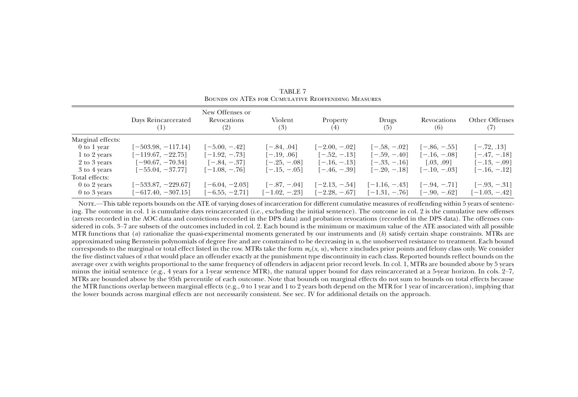|                   | Days Reincarcerated<br>(1) | New Offenses or<br>Revocations<br>(2) | Violent<br>(3)   | Property<br>(4)  | Drugs<br>(5)     | Revocations<br>(6) | Other Offenses   |
|-------------------|----------------------------|---------------------------------------|------------------|------------------|------------------|--------------------|------------------|
| Marginal effects: |                            |                                       |                  |                  |                  |                    |                  |
| 0 to 1 year       | $[-503.98, -117.14]$       | $[-5.00, -0.42]$                      | $[-.84, .04]$    | $[-2.00, -0.02]$ | $[-.58, -.02]$   | $[-.86, -.55]$     | $[-.72, .13]$    |
| 1 to 2 years      | $[-119.67, -22.75]$        | $[-1.92, -0.73]$                      | $[-.19, .06]$    | $[-.52, -.13]$   | $[-.59, -.40]$   | $[-.16, -.08]$     | $[-.47, -.18]$   |
| 2 to 3 years      | $[-90.67, -70.34]$         | $[-.84, -.37]$                        | $[-.25, -.08]$   | $[-.16, -.13]$   | $[-.33, -.16]$   | [.03, .09]         | $[-.13, -.09]$   |
| 3 to 4 years      | $[-55.04, -37.77]$         | $[-1.08, -0.76]$                      | $[-.15, -.05]$   | $[-.46, -.39]$   | $[-.20, -.18]$   | $[-.10, -.03]$     | $[-.16, -.12]$   |
| Total effects:    |                            |                                       |                  |                  |                  |                    |                  |
| $0$ to 2 years    | $[-533.87, -229.67]$       | $[-6.04, -2.03]$                      | $[-.87, -.04]$   | $[-2.13, -0.54]$ | $[-1.16, -0.43]$ | $[-.94, -.71]$     | $[-.93, -.31]$   |
| $0$ to $3$ years  | $[-617.40, -307.15]$       | $[-6.55, -2.71]$                      | $[-1.02, -0.23]$ | $[-2.28, -0.67]$ | $[-1.31, -0.76]$ | $[-.90, -.62]$     | $[-1.03, -0.42]$ |

TABLE 7Bounds on ATEs for Cumulative Reoffending Measures

Note.—This table reports bounds on the ATE of varying doses of incarceration for different cumulative measures of reoffending within 5 years of sentencing. The outcome in col. 1 is cumulative days reincarcerated (i.e., excluding the initial sentence). The outcome in col. 2 is the cumulative new offenses (arrests recorded in the AOC data and convictions recorded in the DPS data) and probation revocations (recorded in the DPS data). The offenses considered in cols. <sup>3</sup>–7 are subsets of the outcomes included in col. 2. Each bound is the minimum or maximum value of the ATE associated with all possible MTR functions that (*a*) rationalize the quasi-experimental moments generated by our instruments and (*b*) satisfy certain shape constraints. MTRs are approximated using Bernstein polynomials of degree five and are constrained to be decreasing in  $u$ , the unobserved resistance to treatment. Each bound corresponds to the marginal or total effect listed in the row. MTRs take the form  $m_d(x, u)$ , where x includes prior points and felony class only. We consider the five distinct values of x that would place an offender exactly at the punishment type discontinuity in each class. Reported bounds reflect bounds on the average over <sup>x</sup> with weights proportional to the same frequency of offenders in adjacent prior record levels. In col. 1, MTRs are bounded above by 5 years minus the initial sentence (e.g., <sup>4</sup> years for <sup>a</sup> 1-year sentence MTR), the natural upper bound for days reincarcerated at <sup>a</sup> 5-year horizon. In cols. 2–7, MTRs are bounded above by the 95th percentile of each outcome. Note that bounds on marginal effects do not sum to bounds on total effects because the MTR functions overlap between marginal effects (e.g., 0 to 1 year and 1 to 2 years both depend on the MTR for 1 year of incarceration), implying that the lower bounds across marginal effects are not necessarily consistent. See sec. IV for additional details on the approach.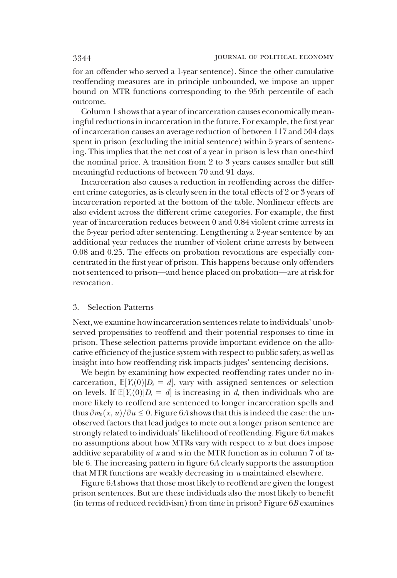for an offender who served a 1-year sentence). Since the other cumulative reoffending measures are in principle unbounded, we impose an upper bound on MTR functions corresponding to the 95th percentile of each outcome.

Column 1 shows that a year of incarceration causes economically meaningful reductions in incarceration in the future. For example, the first year of incarceration causes an average reduction of between 117 and 504 days spent in prison (excluding the initial sentence) within 5 years of sentencing. This implies that the net cost of a year in prison is less than one-third the nominal price. A transition from 2 to 3 years causes smaller but still meaningful reductions of between 70 and 91 days.

Incarceration also causes a reduction in reoffending across the different crime categories, as is clearly seen in the total effects of 2 or 3 years of incarceration reported at the bottom of the table. Nonlinear effects are also evident across the different crime categories. For example, the first year of incarceration reduces between 0 and 0.84 violent crime arrests in the 5-year period after sentencing. Lengthening a 2-year sentence by an additional year reduces the number of violent crime arrests by between 0.08 and 0.25. The effects on probation revocations are especially concentrated in the first year of prison. This happens because only offenders not sentenced to prison—and hence placed on probation—are at risk for revocation.

### 3. Selection Patterns

Next, we examine how incarceration sentences relate to individuals' unobserved propensities to reoffend and their potential responses to time in prison. These selection patterns provide important evidence on the allocative efficiency of the justice system with respect to public safety, as well as insight into how reoffending risk impacts judges' sentencing decisions.

We begin by examining how expected reoffending rates under no incarceration,  $\mathbb{E}[Y_i(0)|D_i = d]$ , vary with assigned sentences or selection<br>on levels If  $\mathbb{E}[Y_i(0)|D_i = d]$  is increasing in d then individuals who are on levels. If  $\mathbb{E}[Y_i(0)|D_i = d]$  is increasing in d, then individuals who are<br>more likely to reoffend are sentenced to longer incarceration spells and more likely to reoffend are sentenced to longer incarceration spells and thus  $\partial m_0(x, u)/\partial u \leq 0$ . Figure 6A shows that this is indeed the case: the unobserved factors that lead judges to mete out a longer prison sentence are strongly related to individuals' likelihood of reoffending. Figure 6A makes no assumptions about how MTRs vary with respect to  $u$  but does impose additive separability of x and  $u$  in the MTR function as in column 7 of table 6. The increasing pattern in figure 6A clearly supports the assumption that MTR functions are weakly decreasing in  $u$  maintained elsewhere.

Figure 6A shows that those most likely to reoffend are given the longest prison sentences. But are these individuals also the most likely to benefit (in terms of reduced recidivism) from time in prison? Figure  $6B$  examines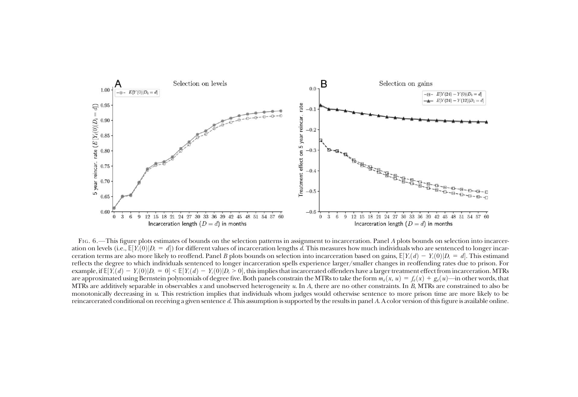

FIG. 6. —This figure plots estimates of bounds on the selection patterns in assignment to incarceration. Panel A plots bounds on selection into incarceration on levels (i.e.,  $\mathbb{E}[Y_i(0)|D_i = d]$ ) for different values of incarceration lengths  $d$ . This measures how much individuals who are sentenced to longer incarceration terms are also more likely to reoffend. Panel B plots bounds on selection into incarceration based on gains,  $\mathbb{E}[Y_i(d) - Y_i(0)|D_i = d].$  This estimand reflects the degree to which individuals sentenced to longer incarceration spells experience larger/smaller changes in reoffending rates due to prison. For example, if  $\mathbb{E}[Y_i(d) - Y_i(0)|D_i = 0] \leq \mathbb{E}[Y_i(d) - Y_i(0)|D_i > 0]$ , this implies that incarcerated offenders have a larger treatment effect from incarceration. MTRs are approximated using Bernstein polynomials of degree five. Both panels constrain the MTRs to take the form  $m_d(x, u) = f_d(x) + g_d(u)$ —in other words, that MTRs are additively separable in observables x and unobserved heterogeneity  $u.$  In  $A$ , there are no other constraints. In  $B$ , MTRs are constrained to also be monotonically decreasing in u. This restriction implies that individuals whom judges would otherwise sentence to more prison time are more likely to be reincarcerated conditional on receiving <sup>a</sup> given sentence d. This assumption is supported by the results in panel A. A color version of this figure is available online.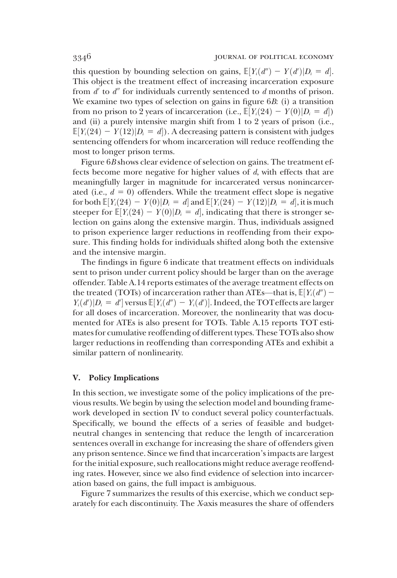this question by bounding selection on gains,  $\mathbb{E}[Y_i(\mathbf{d}'') - Y(\mathbf{d}')|D_i = d]$ .<br>This object is the treatment effect of increasing incarceration exposure This object is the treatment effect of increasing incarceration exposure from  $d'$  to  $d''$  for individuals currently sentenced to d months of prison. We examine two types of selection on gains in figure 6B: (i) a transition from no prison to 2 years of incarceration (i.e.,  $\mathbb{E}[Y_i(24) - Y(0)|D_i = d]$ )<br>and (ii) a purely intensive margin shift from 1 to 2 years of prison (i.e. and (ii) a purely intensive margin shift from 1 to 2 years of prison (i.e.,  $\mathbb{E}[Y_i(24) - Y(12)|D_i = d]$ ). A decreasing pattern is consistent with judges<br>sentencing offenders for whom incarceration will reduce reoffending the sentencing offenders for whom incarceration will reduce reoffending the most to longer prison terms.

Figure 6B shows clear evidence of selection on gains. The treatment effects become more negative for higher values of d, with effects that are meaningfully larger in magnitude for incarcerated versus nonincarcerated (i.e.,  $d = 0$ ) offenders. While the treatment effect slope is negative for both  $\mathbb{E}[Y_i(24) - Y(0)|D_i = d]$  and  $\mathbb{E}[Y_i(24) - Y(12)|D_i = d]$ , it is much steeper for  $\mathbb{E}[Y_i(24) - Y(0)|D_i = d]$  indicating that there is stronger sesteeper for  $\mathbb{E}[Y_i(24) - Y(0)|D_i = d]$ , indicating that there is stronger se-<br>lection on gains along the extensive margin. Thus, individuals assigned lection on gains along the extensive margin. Thus, individuals assigned to prison experience larger reductions in reoffending from their exposure. This finding holds for individuals shifted along both the extensive and the intensive margin.

The findings in figure 6 indicate that treatment effects on individuals sent to prison under current policy should be larger than on the average offender. Table A.14 reports estimates of the average treatment effects on the treated (TOTs) of incarceration rather than ATEs—that is,  $\mathbb{E}[Y_i(d'') Y_i(d')|D_i = d'$  versus  $\mathbb{E}[Y_i(d'') - Y_i(d')]$ . Indeed, the TOTeffects are larger<br>for all doses of incarceration. Moreover, the nonlinearity that was docu- $\sum_{i=1}^{\infty}$  of  $\sum_{i=1}^{\infty}$  for all doses of incarceration. Moreover, the nonlinearity that was documented for ATEs is also present for TOTs. Table A.15 reports TOT estimates for cumulative reoffending of different types. These TOTs also show larger reductions in reoffending than corresponding ATEs and exhibit a similar pattern of nonlinearity.

# V. Policy Implications

In this section, we investigate some of the policy implications of the previous results. We begin by using the selection model and bounding framework developed in section IV to conduct several policy counterfactuals. Specifically, we bound the effects of a series of feasible and budgetneutral changes in sentencing that reduce the length of incarceration sentences overall in exchange for increasing the share of offenders given any prison sentence. Since we find that incarceration's impacts are largest for the initial exposure, such reallocations might reduce average reoffending rates. However, since we also find evidence of selection into incarceration based on gains, the full impact is ambiguous.

Figure 7 summarizes the results of this exercise, which we conduct separately for each discontinuity. The X-axis measures the share of offenders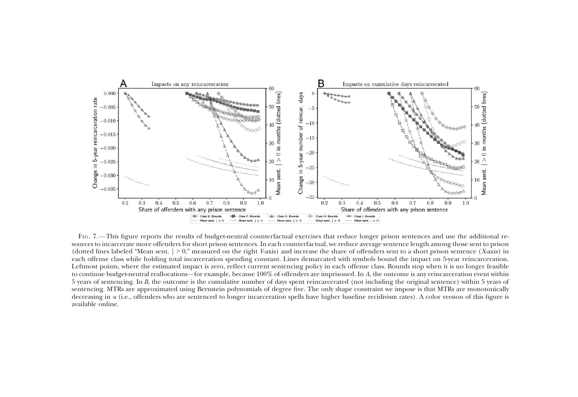

FIG. 7. —This figure reports the results of budget-neutral counterfactual exercises that reduce longer prison sentences and use the additional resources to incarcerate more offenders for short prison sentences. In each counterfactual, we reduce average sentence length among those sent to prison (dotted lines labeled "Mean sent.  $\vert$  > 0," measured on the right Y-axis) and increase the share of offenders sent to a short prison sentence (X-axis) in each offense class while holding total incarceration spending constant. Lines demarcated with symbols bound the impact on 5-year reincarceration. Leftmost points, where the estimated impact is zero, reflect current sentencing policy in each offense class. Bounds stop when it is no longer feasible to continue budget-neutral reallocations —for example, because 100% of offenders are imprisoned. In A, the outcome is any reincarceration event within 5 years of sentencing. In <sup>B</sup>, the outcome is the cumulative number of days spen<sup>t</sup> reincarcerated (not including the original sentence) within 5 years of sentencing. MTRs are approximated using Bernstein polynomials of degree five. The only shape constraint we impose is that MTRs are monotonically decreasing in u (i.e., offenders who are sentenced to longer incarceration spells have higher baseline recidivism rates). A color version of this figure is available online.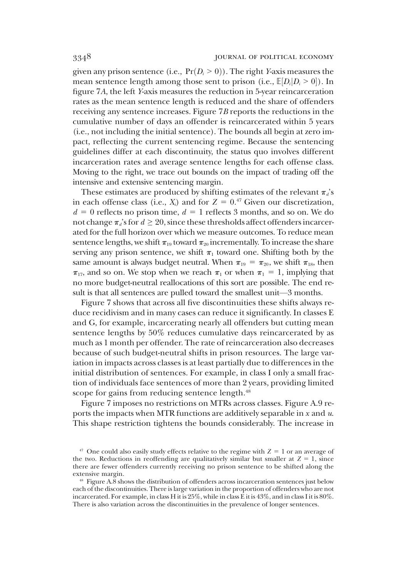given any prison sentence (i.e.,  $Pr(D_i > 0)$ ). The right *Y*-axis measures the mean sentence length among those sent to prison (i.e.,  $\mathbb{E}[D_i|D_i > 0]$ ). In<br>figure 7.4, the left Vaxis measures the reduction in 5-year reincarceration figure 7A, the left Y-axis measures the reduction in 5-year reincarceration rates as the mean sentence length is reduced and the share of offenders receiving any sentence increases. Figure 7B reports the reductions in the cumulative number of days an offender is reincarcerated within 5 years (i.e., not including the initial sentence). The bounds all begin at zero impact, reflecting the current sentencing regime. Because the sentencing guidelines differ at each discontinuity, the status quo involves different incarceration rates and average sentence lengths for each offense class. Moving to the right, we trace out bounds on the impact of trading off the intensive and extensive sentencing margin.

These estimates are produced by shifting estimates of the relevant  $\pi_d$ 's in each offense class (i.e.,  $X_i$ ) and for  $Z = 0.47$  Given our discretization,  $d = 0$  reflects no prison time,  $d = 1$  reflects 3 months, and so on. We do not change  $\pi_d$ 's for  $d \geq 20$ , since these thresholds affect offenders incarcerated for the full horizon over which we measure outcomes. To reduce mean sentence lengths, we shift  $\pi_{19}$  toward  $\pi_{20}$  incrementally. To increase the share serving any prison sentence, we shift  $\pi_1$  toward one. Shifting both by the same amount is always budget neutral. When  $\pi_{19} = \pi_{20}$ , we shift  $\pi_{18}$ , then  $\pi_{17}$ , and so on. We stop when we reach  $\pi_1$  or when  $\pi_1 = 1$ , implying that no more budget-neutral reallocations of this sort are possible. The end result is that all sentences are pulled toward the smallest unit—3 months.

Figure 7 shows that across all five discontinuities these shifts always reduce recidivism and in many cases can reduce it significantly. In classes E and G, for example, incarcerating nearly all offenders but cutting mean sentence lengths by 50% reduces cumulative days reincarcerated by as much as 1 month per offender. The rate of reincarceration also decreases because of such budget-neutral shifts in prison resources. The large variation in impacts across classes is at least partially due to differences in the initial distribution of sentences. For example, in class I only a small fraction of individuals face sentences of more than 2 years, providing limited scope for gains from reducing sentence length.<sup>48</sup>

Figure 7 imposes no restrictions on MTRs across classes. Figure A.9 reports the impacts when MTR functions are additively separable in  $x$  and  $u$ . This shape restriction tightens the bounds considerably. The increase in

<sup>&</sup>lt;sup>47</sup> One could also easily study effects relative to the regime with  $Z = 1$  or an average of the two. Reductions in reoffending are qualitatively similar but smaller at  $Z = 1$ , since there are fewer offenders currently receiving no prison sentence to be shifted along the extensive margin.

<sup>48</sup> Figure A.8 shows the distribution of offenders across incarceration sentences just below each of the discontinuities. There is large variation in the proportion of offenders who are not incarcerated. For example, in class H it is 25%, while in class  $\vec{E}$  it is 43%, and in class I it is 80%. There is also variation across the discontinuities in the prevalence of longer sentences.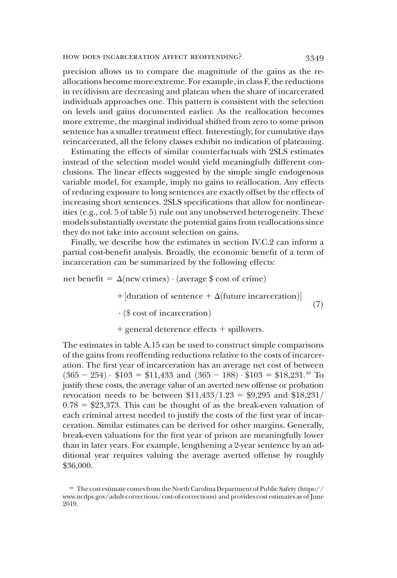precision allows us to compare the magnitude of the gains as the reallocations become more extreme. For example, in class F, the reductions in recidivism are decreasing and plateau when the share of incarcerated individuals approaches one. This pattern is consistent with the selection on levels and gains documented earlier. As the reallocation becomes more extreme, the marginal individual shifted from zero to some prison sentence has a smaller treatment effect. Interestingly, for cumulative days reincarcerated, all the felony classes exhibit no indication of plateauing.

Estimating the effects of similar counterfactuals with 2SLS estimates instead of the selection model would yield meaningfully different conclusions. The linear effects suggested by the simple single endogenous variable model, for example, imply no gains to reallocation. Any effects of reducing exposure to long sentences are exactly offset by the effects of increasing short sentences. 2SLS specifications that allow for nonlinearities (e.g., col. 5 of table 5) rule out any unobserved heterogeneity. These models substantially overstate the potential gains from reallocations since they do not take into account selection on gains.

Finally, we describe how the estimates in section IV.C.2 can inform a partial cost-benefit analysis. Broadly, the economic benefit of a term of incarceration can be summarized by the following effects:

net benefit =  $\Delta$ (new crimes)  $\cdot$  (average \$ cost of crime)

 $+$ [duration of sentence +  $\Delta$ (future incarceration)] (7)

 $\cdot$  (\$ cost of incarceration)

 $+$  general deterence effects  $+$  spillovers.

The estimates in table A.15 can be used to construct simple comparisons of the gains from reoffending reductions relative to the costs of incarceration. The first year of incarceration has an average net cost of between  $(365 - 254) \cdot $103 = $11,433$  and  $(365 - 188) \cdot $103 = $18,231.^{49}$  To justify these costs, the average value of an averted new offense or probation revocation needs to be between  $$11,433/1.23 = $9,295$  and  $$18,231/$  $0.78 = $23,373$ . This can be thought of as the break-even valuation of each criminal arrest needed to justify the costs of the first year of incarceration. Similar estimates can be derived for other margins. Generally, break-even valuations for the first year of prison are meaningfully lower than in later years. For example, lengthening a 2-year sentence by an additional year requires valuing the average averted offense by roughly \$36,000.

<sup>49</sup> The cost estimate comes from the North Carolina Department of Public Safety (https:// www.ncdps.gov/adult-corrections/cost-of-corrections) and provides cost estimates as of June 2019.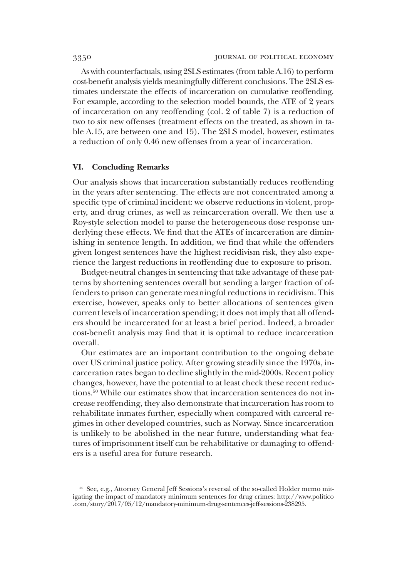As with counterfactuals, using 2SLS estimates (from table A.16) to perform cost-benefit analysis yields meaningfully different conclusions. The 2SLS estimates understate the effects of incarceration on cumulative reoffending. For example, according to the selection model bounds, the ATE of 2 years of incarceration on any reoffending (col. 2 of table 7) is a reduction of two to six new offenses (treatment effects on the treated, as shown in table A.15, are between one and 15). The 2SLS model, however, estimates a reduction of only 0.46 new offenses from a year of incarceration.

# VI. Concluding Remarks

Our analysis shows that incarceration substantially reduces reoffending in the years after sentencing. The effects are not concentrated among a specific type of criminal incident: we observe reductions in violent, property, and drug crimes, as well as reincarceration overall. We then use a Roy-style selection model to parse the heterogeneous dose response underlying these effects. We find that the ATEs of incarceration are diminishing in sentence length. In addition, we find that while the offenders given longest sentences have the highest recidivism risk, they also experience the largest reductions in reoffending due to exposure to prison.

Budget-neutral changes in sentencing that take advantage of these patterns by shortening sentences overall but sending a larger fraction of offenders to prison can generate meaningful reductions in recidivism. This exercise, however, speaks only to better allocations of sentences given current levels of incarceration spending; it does not imply that all offenders should be incarcerated for at least a brief period. Indeed, a broader cost-benefit analysis may find that it is optimal to reduce incarceration overall.

Our estimates are an important contribution to the ongoing debate over US criminal justice policy. After growing steadily since the 1970s, incarceration rates began to decline slightly in the mid-2000s. Recent policy changes, however, have the potential to at least check these recent reductions.50 While our estimates show that incarceration sentences do not increase reoffending, they also demonstrate that incarceration has room to rehabilitate inmates further, especially when compared with carceral regimes in other developed countries, such as Norway. Since incarceration is unlikely to be abolished in the near future, understanding what features of imprisonment itself can be rehabilitative or damaging to offenders is a useful area for future research.

<sup>&</sup>lt;sup>50</sup> See, e.g., Attorney General Jeff Sessions's reversal of the so-called Holder memo mitigating the impact of mandatory minimum sentences for drug crimes: http://www.politico .com/story/2017/05/12/mandatory-minimum-drug-sentences-jeff-sessions-238295.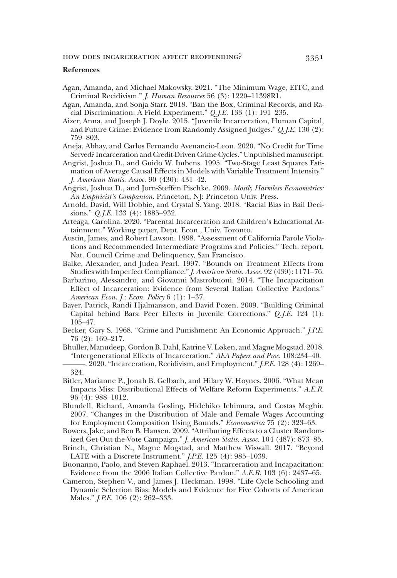### References

- Agan, Amanda, and Michael Makowsky. 2021. "The Minimum Wage, EITC, and Criminal Recidivism." J. Human Resources 56 (3): 1220–11398R1.
- Agan, Amanda, and Sonja Starr. 2018. "Ban the Box, Criminal Records, and Racial Discrimination: A Field Experiment." Q.J.E. 133 (1): 191–235.
- Aizer, Anna, and Joseph J. Doyle. 2015. "Juvenile Incarceration, Human Capital, and Future Crime: Evidence from Randomly Assigned Judges." Q.J.E. 130 (2): 759–803.
- Aneja, Abhay, and Carlos Fernando Avenancio-Leon. 2020. "No Credit for Time Served? Incarceration and Credit-Driven Crime Cycles."Unpublished manuscript.
- Angrist, Joshua D., and Guido W. Imbens. 1995. "Two-Stage Least Squares Estimation of Average Causal Effects in Models with Variable Treatment Intensity." J. American Statis. Assoc. 90 (430): 431–42.
- Angrist, Joshua D., and Jorn-Steffen Pischke. 2009. Mostly Harmless Econometrics: An Empiricist's Companion. Princeton, NJ: Princeton Univ. Press.
- Arnold, David, Will Dobbie, and Crystal S. Yang. 2018. "Racial Bias in Bail Decisions." Q.J.E. 133 (4): 1885–932.
- Arteaga, Carolina. 2020. "Parental Incarceration and Children's Educational Attainment." Working paper, Dept. Econ., Univ. Toronto.
- Austin, James, and Robert Lawson. 1998. "Assessment of California Parole Violations and Recommended Intermediate Programs and Policies." Tech. report, Nat. Council Crime and Delinquency, San Francisco.
- Balke, Alexander, and Judea Pearl. 1997. "Bounds on Treatment Effects from Studies with Imperfect Compliance."J. American Statis. Assoc. 92 (439): 1171–76.
- Barbarino, Alessandro, and Giovanni Mastrobuoni. 2014. "The Incapacitation Effect of Incarceration: Evidence from Several Italian Collective Pardons." American Econ. J.: Econ. Policy 6 (1): 1–37.
- Bayer, Patrick, Randi Hjalmarsson, and David Pozen. 2009. "Building Criminal Capital behind Bars: Peer Effects in Juvenile Corrections." Q. J.E. 124 (1): 105–47.
- Becker, Gary S. 1968. "Crime and Punishment: An Economic Approach." *J.P.E.* 76 (2): 169–217.
- Bhuller, Manudeep, Gordon B. Dahl, Katrine V. Løken, and Magne Mogstad. 2018. "Intergenerational Effects of Incarceration." AEA Papers and Proc. 108:234–40.

- Bitler, Marianne P., Jonah B. Gelbach, and Hilary W. Hoynes. 2006. "What Mean Impacts Miss: Distributional Effects of Welfare Reform Experiments." A.E.R. 96 (4): 988–1012.
- Blundell, Richard, Amanda Gosling, Hidehiko Ichimura, and Costas Meghir. 2007. "Changes in the Distribution of Male and Female Wages Accounting for Employment Composition Using Bounds." Econometrica 75 (2): 323-63.
- Bowers, Jake, and Ben B. Hansen. 2009. "Attributing Effects to a Cluster Randomized Get-Out-the-Vote Campaign." J. American Statis. Assoc. 104 (487): 873–85.
- Brinch, Christian N., Magne Mogstad, and Matthew Wiswall. 2017. "Beyond LATE with a Discrete Instrument." J.P.E. 125 (4): 985–1039.
- Buonanno, Paolo, and Steven Raphael. 2013. "Incarceration and Incapacitation: Evidence from the 2006 Italian Collective Pardon." A.E.R. 103 (6): 2437–65.
- Cameron, Stephen V., and James J. Heckman. 1998. "Life Cycle Schooling and Dynamic Selection Bias: Models and Evidence for Five Cohorts of American Males." *J.P.E.* 106 (2): 262–333.

<sup>———</sup>. 2020. "Incarceration, Recidivism, and Employment." J.P.E. 128 (4): 1269– 324.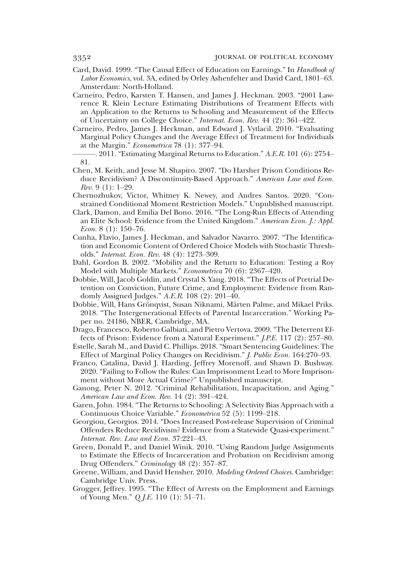- Card, David. 1999. "The Causal Effect of Education on Earnings." In Handbook of Labor Economics, vol. 3A, edited by Orley Ashenfelter and David Card, 1801–63. Amsterdam: North-Holland.
- Carneiro, Pedro, Karsten T. Hansen, and James J. Heckman. 2003. "2001 Lawrence R. Klein Lecture Estimating Distributions of Treatment Effects with an Application to the Returns to Schooling and Measurement of the Effects of Uncertainty on College Choice." Internat. Econ. Rev. 44 (2): 361–422.
- Carneiro, Pedro, James J. Heckman, and Edward J. Vytlacil. 2010. "Evaluating Marginal Policy Changes and the Average Effect of Treatment for Individuals at the Margin." Econometrica 78 (1): 377–94.
- ———. 2011. "Estimating Marginal Returns to Education." A.E.R. 101 (6): 2754– 81.
- Chen, M. Keith, and Jesse M. Shapiro. 2007. "Do Harsher Prison Conditions Reduce Recidivism? A Discontinuity-Based Approach." American Law and Econ.  $Rev. 9 (1): 1-29.$
- Chernozhukov, Victor, Whitney K. Newey, and Andres Santos. 2020. "Constrained Conditional Moment Restriction Models." Unpublished manuscript.
- Clark, Damon, and Emilia Del Bono. 2016. "The Long-Run Effects of Attending an Elite School: Evidence from the United Kingdom." American Econ. J.: Appl. *Econ.* 8 (1):  $150-76$ .
- Cunha, Flavio, James J. Heckman, and Salvador Navarro. 2007. "The Identification and Economic Content of Ordered Choice Models with Stochastic Thresholds." Internat. Econ. Rev. 48 (4): 1273–309.
- Dahl, Gordon B. 2002. "Mobility and the Return to Education: Testing a Roy Model with Multiple Markets." Econometrica 70 (6): 2367–420.
- Dobbie, Will, Jacob Goldin, and Crystal S. Yang. 2018. "The Effects of Pretrial Detention on Conviction, Future Crime, and Employment: Evidence from Randomly Assigned Judges." A.E.R. 108 (2): 201–40.
- Dobbie, Will, Hans Grönqvist, Susan Niknami, Mårten Palme, and Mikael Priks. 2018. "The Intergenerational Effects of Parental Incarceration." Working Paper no. 24186, NBER, Cambridge, MA.
- Drago, Francesco, Roberto Galbiati, and Pietro Vertova. 2009. "The Deterrent Effects of Prison: Evidence from a Natural Experiment." J.P.E. 117 (2): 257–80.
- Estelle, Sarah M., and David C. Phillips. 2018."Smart Sentencing Guidelines: The Effect of Marginal Policy Changes on Recidivism." J. Public Econ. 164:270–93.
- Franco, Catalina, David J. Harding, Jeffrey Morenoff, and Shawn D. Bushway. 2020. "Failing to Follow the Rules: Can Imprisonment Lead to More Imprisonment without More Actual Crime?" Unpublished manuscript.
- Ganong, Peter N. 2012. "Criminal Rehabilitation, Incapacitation, and Aging." American Law and Econ. Rev. 14 (2): 391–424.
- Garen, John. 1984. "The Returns to Schooling: A Selectivity Bias Approach with a Continuous Choice Variable." Econometrica 52 (5): 1199–218.
- Georgiou, Georgios. 2014. "Does Increased Post-release Supervision of Criminal Offenders Reduce Recidivism? Evidence from a Statewide Quasi-experiment." Internat. Rev. Law and Econ. 37:221–43.
- Green, Donald P., and Daniel Winik. 2010. "Using Random Judge Assignments to Estimate the Effects of Incarceration and Probation on Recidivism among Drug Offenders." Criminology 48 (2): 357–87.
- Greene, William, and David Hensher. 2010. Modeling Ordered Choices. Cambridge: Cambridge Univ. Press.
- Grogger, Jeffrey. 1995. "The Effect of Arrests on the Employment and Earnings of Young Men." Q.J.E. 110 (1): 51–71.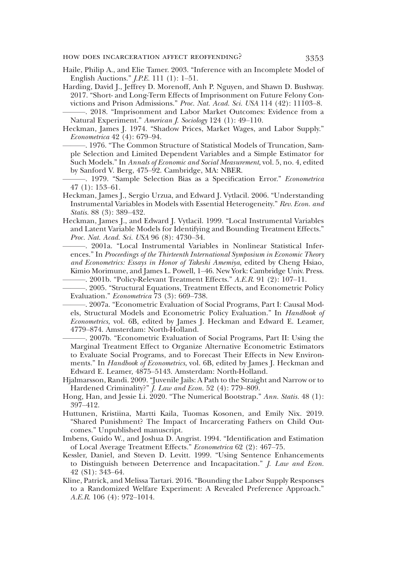Haile, Philip A., and Elie Tamer. 2003. "Inference with an Incomplete Model of English Auctions." J.P.E. 111 (1): 1–51.

Harding, David J., Jeffrey D. Morenoff, Anh P. Nguyen, and Shawn D. Bushway. 2017. "Short- and Long-Term Effects of Imprisonment on Future Felony Convictions and Prison Admissions." Proc. Nat. Acad. Sci. USA 114 (42): 11103–8. -. 2018. "Imprisonment and Labor Market Outcomes: Evidence from a

Natural Experiment." American J. Sociology 124 (1): 49–110.

- Heckman, James J. 1974. "Shadow Prices, Market Wages, and Labor Supply." Econometrica 42 (4): 679–94.
	- -. 1976. "The Common Structure of Statistical Models of Truncation, Sample Selection and Limited Dependent Variables and a Simple Estimator for Such Models." In Annals of Economic and Social Measurement, vol. 5, no. 4, edited by Sanford V. Berg, 475–92. Cambridge, MA: NBER.
- -. 1979. "Sample Selection Bias as a Specification Error." Econometrica 47 (1): 153–61.
- Heckman, James J., Sergio Urzua, and Edward J. Vytlacil. 2006. "Understanding Instrumental Variables in Models with Essential Heterogeneity." Rev. Econ. and Statis. 88 (3): 389-432.
- Heckman, James J., and Edward J. Vytlacil. 1999. "Local Instrumental Variables and Latent Variable Models for Identifying and Bounding Treatment Effects." Proc. Nat. Acad. Sci. USA 96 (8): 4730–34.
	- -. 2001a. "Local Instrumental Variables in Nonlinear Statistical Inferences." In Proceedings of the Thirteenth International Symposium in Economic Theory and Econometrics: Essays in Honor of Takeshi Amemiya, edited by Cheng Hsiao, Kimio Morimune, and James L. Powell, 1–46. New York: Cambridge Univ. Press.

 $-$ . 2001b. "Policy-Relevant Treatment Effects."  $A.E.R.$  91 (2): 107–11.

———. 2005. "Structural Equations, Treatment Effects, and Econometric Policy Evaluation." Econometrica 73 (3): 669–738.

-. 2007a. "Econometric Evaluation of Social Programs, Part I: Causal Models, Structural Models and Econometric Policy Evaluation." In Handbook of Econometrics, vol. 6B, edited by James J. Heckman and Edward E. Leamer, 4779–874. Amsterdam: North-Holland.

- -. 2007b. "Econometric Evaluation of Social Programs, Part II: Using the Marginal Treatment Effect to Organize Alternative Econometric Estimators to Evaluate Social Programs, and to Forecast Their Effects in New Environments." In Handbook of Econometrics, vol. 6B, edited by James J. Heckman and Edward E. Leamer, 4875–5143. Amsterdam: North-Holland.
- Hjalmarsson, Randi. 2009. "Juvenile Jails: A Path to the Straight and Narrow or to Hardened Criminality?" *J. Law and Econ.* 52 (4): 779-809.
- Hong, Han, and Jessie Li. 2020. "The Numerical Bootstrap." Ann. Statis. 48 (1): 397–412.
- Huttunen, Kristiina, Martti Kaila, Tuomas Kosonen, and Emily Nix. 2019. "Shared Punishment? The Impact of Incarcerating Fathers on Child Outcomes." Unpublished manuscript.
- Imbens, Guido W., and Joshua D. Angrist. 1994. "Identification and Estimation of Local Average Treatment Effects." Econometrica 62 (2): 467–75.
- Kessler, Daniel, and Steven D. Levitt. 1999. "Using Sentence Enhancements to Distinguish between Deterrence and Incapacitation." J. Law and Econ. 42 (S1): 343–64.
- Kline, Patrick, and Melissa Tartari. 2016. "Bounding the Labor Supply Responses to a Randomized Welfare Experiment: A Revealed Preference Approach." A.E.R. 106 (4): 972–1014.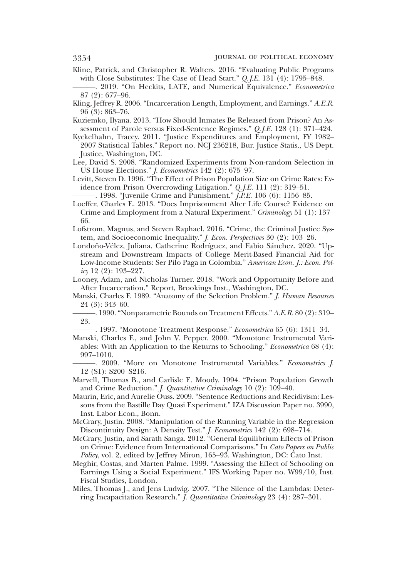Kline, Patrick, and Christopher R. Walters. 2016. "Evaluating Public Programs with Close Substitutes: The Case of Head Start." Q.J.E. 131 (4): 1795–848.

-. 2019. "On Heckits, LATE, and Numerical Equivalence." Econometrica 87 (2): 677–96.

Kling, Jeffrey R. 2006. "Incarceration Length, Employment, and Earnings." A.E.R. 96 (3): 863–76.

- Kuziemko, Ilyana. 2013. "How Should Inmates Be Released from Prison? An Assessment of Parole versus Fixed-Sentence Regimes." Q.J.E. 128 (1): 371–424.
- Kyckelhahn, Tracey. 2011. "Justice Expenditures and Employment, FY 1982– 2007 Statistical Tables." Report no. NCJ 236218, Bur. Justice Statis., US Dept. Justice, Washington, DC.
- Lee, David S. 2008. "Randomized Experiments from Non-random Selection in US House Elections." J. Econometrics 142 (2): 675–97.
- Levitt, Steven D. 1996. "The Effect of Prison Population Size on Crime Rates: Evidence from Prison Overcrowding Litigation." Q.J.E. 111 (2): 319–51.

-. 1998. "Juvenile Crime and Punishment."  $\widetilde{J.P.E.}$  106 (6): 1156–85.

- Loeffer, Charles E. 2013. "Does Imprisonment Alter Life Course? Evidence on Crime and Employment from a Natural Experiment." Criminology 51 (1): 137– 66.
- Lofstrom, Magnus, and Steven Raphael. 2016. "Crime, the Criminal Justice System, and Socioeconomic Inequality." J. Econ. Perspectives 30 (2): 103–26.
- Londoño-Vélez, Juliana, Catherine Rodríguez, and Fabio Sánchez. 2020. "Upstream and Downstream Impacts of College Merit-Based Financial Aid for Low-Income Students: Ser Pilo Paga in Colombia." American Econ. J.: Econ. Pol $icy$  12 (2): 193-227.
- Looney, Adam, and Nicholas Turner. 2018. "Work and Opportunity Before and After Incarceration." Report, Brookings Inst., Washington, DC.
- Manski, Charles F. 1989. "Anatomy of the Selection Problem." J. Human Resources 24 (3): 343–60.
- -. 1990. "Nonparametric Bounds on Treatment Effects." A.E.R. 80 (2): 319– 23.

-. 1997. "Monotone Treatment Response." Econometrica 65 (6): 1311-34.

- Manski, Charles F., and John V. Pepper. 2000. "Monotone Instrumental Variables: With an Application to the Returns to Schooling." Econometrica 68 (4): 997–1010.
- -. 2009. "More on Monotone Instrumental Variables." Econometrics J. 12 (S1): S200–S216.
- Marvell, Thomas B., and Carlisle E. Moody. 1994. "Prison Population Growth and Crime Reduction." J. Quantitative Criminology 10 (2): 109–40.
- Maurin, Eric, and Aurelie Ouss. 2009. "Sentence Reductions and Recidivism: Lessons from the Bastille Day Quasi Experiment." IZA Discussion Paper no. 3990, Inst. Labor Econ., Bonn.
- McCrary, Justin. 2008. "Manipulation of the Running Variable in the Regression Discontinuity Design: A Density Test." *J. Econometrics* 142 (2): 698-714.
- McCrary, Justin, and Sarath Sanga. 2012. "General Equilibrium Effects of Prison on Crime: Evidence from International Comparisons." In Cato Papers on Public Policy, vol. 2, edited by Jeffrey Miron, 165–93. Washington, DC: Cato Inst.
- Meghir, Costas, and Marten Palme. 1999. "Assessing the Effect of Schooling on Earnings Using a Social Experiment." IFS Working Paper no. W99/10, Inst. Fiscal Studies, London.
- Miles, Thomas J., and Jens Ludwig. 2007. "The Silence of the Lambdas: Deterring Incapacitation Research." J. Quantitative Criminology 23 (4): 287–301.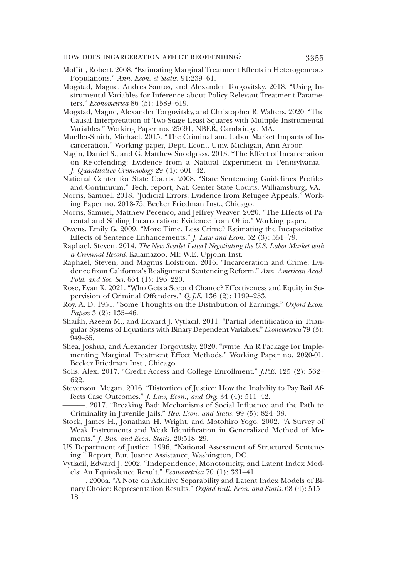- Moffitt, Robert. 2008. "Estimating Marginal Treatment Effects in Heterogeneous Populations." Ann. Econ. et Statis. 91:239–61.
- Mogstad, Magne, Andres Santos, and Alexander Torgovitsky. 2018. "Using Instrumental Variables for Inference about Policy Relevant Treatment Parameters." Econometrica 86 (5): 1589–619.
- Mogstad, Magne, Alexander Torgovitsky, and Christopher R. Walters. 2020. "The Causal Interpretation of Two-Stage Least Squares with Multiple Instrumental Variables." Working Paper no. 25691, NBER, Cambridge, MA.
- Mueller-Smith, Michael. 2015. "The Criminal and Labor Market Impacts of Incarceration." Working paper, Dept. Econ., Univ. Michigan, Ann Arbor.
- Nagin, Daniel S., and G. Matthew Snodgrass. 2013. "The Effect of Incarceration on Re-offending: Evidence from a Natural Experiment in Pennsylvania." J. Quantitative Criminology 29 (4): 601–42.
- National Center for State Courts. 2008. "State Sentencing Guidelines Profiles and Continuum." Tech. report, Nat. Center State Courts, Williamsburg, VA.
- Norris, Samuel. 2018. "Judicial Errors: Evidence from Refugee Appeals." Working Paper no. 2018-75, Becker Friedman Inst., Chicago.
- Norris, Samuel, Matthew Pecenco, and Jeffrey Weaver. 2020. "The Effects of Parental and Sibling Incarceration: Evidence from Ohio." Working paper.
- Owens, Emily G. 2009. "More Time, Less Crime? Estimating the Incapacitative Effects of Sentence Enhancements." J. Law and Econ. 52 (3): 551–79.
- Raphael, Steven. 2014. The New Scarlet Letter? Negotiating the U.S. Labor Market with a Criminal Record. Kalamazoo, MI: W.E. Upjohn Inst.
- Raphael, Steven, and Magnus Lofstrom. 2016. "Incarceration and Crime: Evidence from California's Realignment Sentencing Reform." Ann. American Acad. Polit. and Soc. Sci. 664 (1): 196–220.
- Rose, Evan K. 2021. "Who Gets a Second Chance? Effectiveness and Equity in Supervision of Criminal Offenders." Q.J.E. 136 (2): 1199-253.
- Roy, A. D. 1951. "Some Thoughts on the Distribution of Earnings." Oxford Econ. Papers 3 (2): 135–46.
- Shaikh, Azeem M., and Edward J. Vytlacil. 2011. "Partial Identification in Triangular Systems of Equations with Binary Dependent Variables." Econometrica 79 (3): 949–55.
- Shea, Joshua, and Alexander Torgovitsky. 2020. "ivmte: An R Package for Implementing Marginal Treatment Effect Methods." Working Paper no. 2020-01, Becker Friedman Inst., Chicago.
- Solis, Alex. 2017. "Credit Access and College Enrollment." J.P.E. 125 (2): 562– 622.
- Stevenson, Megan. 2016. "Distortion of Justice: How the Inability to Pay Bail Affects Case Outcomes." J. Law, Econ., and Org. 34 (4): 511–42.
- -. 2017. "Breaking Bad: Mechanisms of Social Influence and the Path to Criminality in Juvenile Jails." Rev. Econ. and Statis. 99 (5): 824–38.
- Stock, James H., Jonathan H. Wright, and Motohiro Yogo. 2002. "A Survey of Weak Instruments and Weak Identification in Generalized Method of Moments." J. Bus. and Econ. Statis. 20:518–29.
- US Department of Justice. 1996. "National Assessment of Structured Sentencing." Report, Bur. Justice Assistance, Washington, DC.
- Vytlacil, Edward J. 2002. "Independence, Monotonicity, and Latent Index Models: An Equivalence Result." Econometrica 70 (1): 331–41.
- ———. 2006a. "A Note on Additive Separability and Latent Index Models of Binary Choice: Representation Results." Oxford Bull. Econ. and Statis. 68 (4): 515-18.